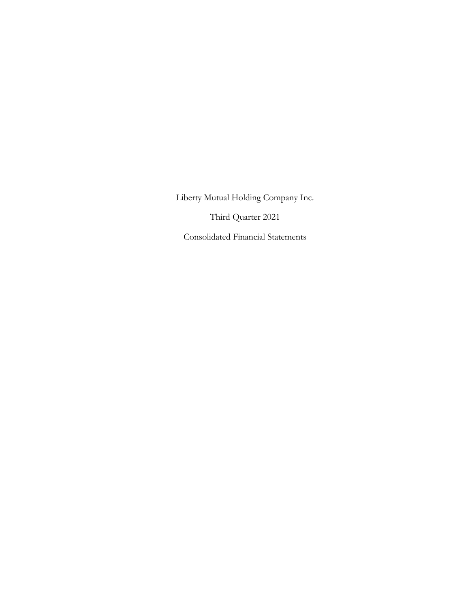Third Quarter 2021

Consolidated Financial Statements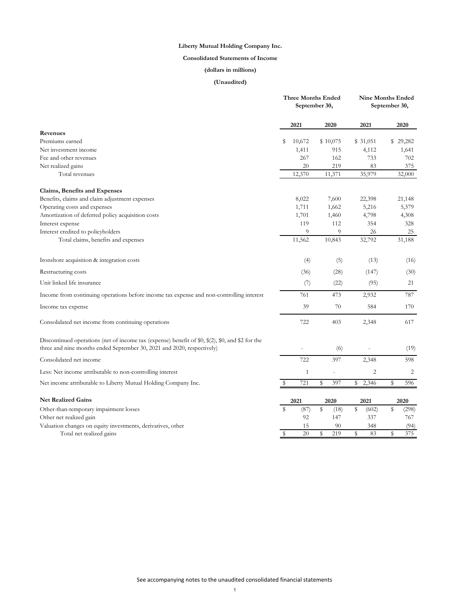# **Consolidated Statements of Income**

# **(dollars in millions)**

|                                                                                                                                                                            | <b>Three Months Ended</b><br>September 30, |        | <b>Nine Months Ended</b><br>September 30, |        |          |                |    |          |
|----------------------------------------------------------------------------------------------------------------------------------------------------------------------------|--------------------------------------------|--------|-------------------------------------------|--------|----------|----------------|----|----------|
|                                                                                                                                                                            |                                            | 2021   | 2020                                      |        | 2021     |                |    | 2020     |
| Revenues                                                                                                                                                                   |                                            |        |                                           |        |          |                |    |          |
| Premiums earned                                                                                                                                                            | \$                                         | 10,672 | \$10,075                                  |        | \$31,051 |                |    | \$29,282 |
| Net investment income                                                                                                                                                      |                                            | 1,411  |                                           | 915    |          | 4,112          |    | 1,641    |
| Fee and other revenues                                                                                                                                                     |                                            | 267    |                                           | 162    |          | 733            |    | 702      |
| Net realized gains                                                                                                                                                         |                                            | 20     |                                           | 219    |          | 83             |    | 375      |
| Total revenues                                                                                                                                                             |                                            | 12,370 | 11,371                                    |        |          | 35,979         |    | 32,000   |
| Claims, Benefits and Expenses                                                                                                                                              |                                            |        |                                           |        |          |                |    |          |
| Benefits, claims and claim adjustment expenses                                                                                                                             |                                            | 8,022  |                                           | 7,600  |          | 22,398         |    | 21,148   |
| Operating costs and expenses                                                                                                                                               |                                            | 1,711  |                                           | 1,662  |          | 5,216          |    | 5,379    |
| Amortization of deferred policy acquisition costs                                                                                                                          |                                            | 1,701  |                                           | 1,460  |          | 4,798          |    | 4,308    |
| Interest expense                                                                                                                                                           |                                            | 119    |                                           | 112    |          | 354            |    | 328      |
| Interest credited to policyholders                                                                                                                                         |                                            | 9      |                                           | 9      |          | 26             |    | 25       |
| Total claims, benefits and expenses                                                                                                                                        |                                            | 11,562 | 10,843                                    |        |          | 32,792         |    | 31,188   |
| Ironshore acquisition & integration costs                                                                                                                                  |                                            | (4)    |                                           | (5)    |          | (13)           |    | (16)     |
| Restructuring costs                                                                                                                                                        |                                            | (36)   |                                           | (28)   |          | (147)          |    | (30)     |
| Unit linked life insurance                                                                                                                                                 |                                            | (7)    |                                           | (22)   |          | (95)           |    | 21       |
| Income from continuing operations before income tax expense and non-controlling interest                                                                                   |                                            | 761    |                                           | 473    |          | 2,932          |    | 787      |
| Income tax expense                                                                                                                                                         |                                            | 39     |                                           | $70\,$ |          | 584            |    | 170      |
| Consolidated net income from continuing operations                                                                                                                         |                                            | 722    |                                           | 403    |          | 2,348          |    | 617      |
| Discontinued operations (net of income tax (expense) benefit of \$0, \$(2), \$0, and \$2 for the<br>three and nine months ended September 30, 2021 and 2020, respectively) |                                            |        |                                           | (6)    |          |                |    | (19)     |
| Consolidated net income                                                                                                                                                    |                                            | 722    |                                           | 397    |          | 2,348          |    | 598      |
| Less: Net income attributable to non-controlling interest                                                                                                                  |                                            | 1      |                                           |        |          | $\overline{c}$ |    | 2        |
| Net income attributable to Liberty Mutual Holding Company Inc.                                                                                                             |                                            | 721    | \$                                        | 397    | \$       | 2,346          | \$ | 596      |
| <b>Net Realized Gains</b>                                                                                                                                                  |                                            | 2021   | 2020                                      |        | 2021     |                |    | 2020     |
| Other-than-temporary impairment losses                                                                                                                                     | \$                                         | (87)   | \$                                        | (18)   | \$       | (602)          | \$ | (298)    |
| Other net realized gain                                                                                                                                                    |                                            | 92     |                                           | 147    |          | 337            |    | 767      |
| Valuation changes on equity investments, derivatives, other                                                                                                                |                                            | 15     |                                           | 90     |          | 348            |    | (94)     |
| Total net realized gains                                                                                                                                                   | \$                                         | 20     | \$                                        | 219    | \$       | 83             | \$ | 375      |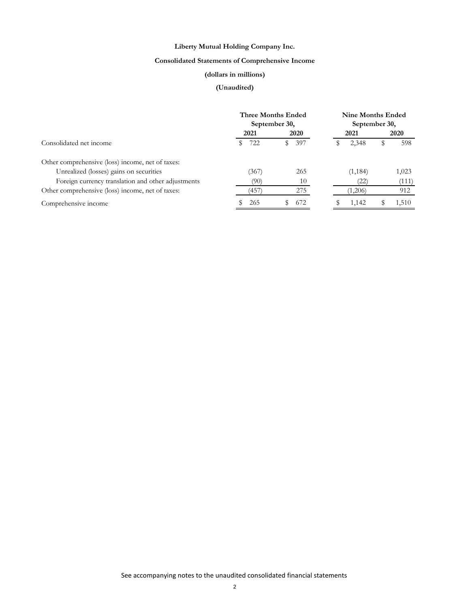# **Consolidated Statements of Comprehensive Income**

# **(dollars in millions)**

|                                                    | <b>Three Months Ended</b><br>September 30, |             | <b>Nine Months Ended</b><br>September 30, |          |   |       |  |
|----------------------------------------------------|--------------------------------------------|-------------|-------------------------------------------|----------|---|-------|--|
|                                                    | 2021                                       | <b>2020</b> |                                           | 2021     |   | 2020  |  |
| Consolidated net income                            | 722                                        | 397<br>SS.  |                                           | 2,348    | S | 598   |  |
| Other comprehensive (loss) income, net of taxes:   |                                            |             |                                           |          |   |       |  |
| Unrealized (losses) gains on securities            | 367                                        | 265         |                                           | (1, 184) |   | 1,023 |  |
| Foreign currency translation and other adjustments | (90)                                       | 10          |                                           | (22)     |   | (111) |  |
| Other comprehensive (loss) income, net of taxes:   | 457)                                       | 275         |                                           | (1,206)  |   | 912   |  |
| Comprehensive income                               | 265                                        | 672         |                                           | 1,142    |   | 1,510 |  |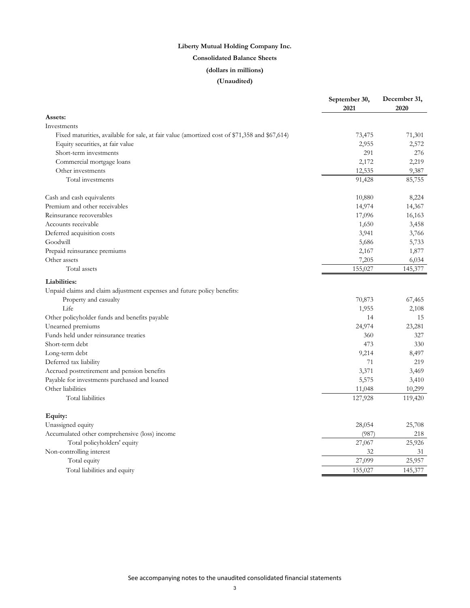# **Consolidated Balance Sheets**

# **(dollars in millions)**

|                                                                                               | September 30,<br>2021 | December 31,<br>2020 |
|-----------------------------------------------------------------------------------------------|-----------------------|----------------------|
| Assets:                                                                                       |                       |                      |
| Investments                                                                                   |                       |                      |
| Fixed maturities, available for sale, at fair value (amortized cost of \$71,358 and \$67,614) | 73,475                | 71,301               |
| Equity securities, at fair value                                                              | 2,955                 | 2,572                |
| Short-term investments                                                                        | 291                   | 276                  |
| Commercial mortgage loans                                                                     | 2,172                 | 2,219                |
| Other investments                                                                             | 12,535                | 9,387                |
| Total investments                                                                             | 91,428                | 85,755               |
| Cash and cash equivalents                                                                     | 10,880                | 8,224                |
| Premium and other receivables                                                                 | 14,974                | 14,367               |
| Reinsurance recoverables                                                                      | 17,096                | 16,163               |
| Accounts receivable                                                                           | 1,650                 | 3,458                |
| Deferred acquisition costs                                                                    | 3,941                 | 3,766                |
| Goodwill                                                                                      | 5,686                 | 5,733                |
| Prepaid reinsurance premiums                                                                  | 2,167                 | 1,877                |
| Other assets                                                                                  | 7,205                 | 6,034                |
| Total assets                                                                                  | 155,027               | 145,377              |
| Liabilities:                                                                                  |                       |                      |
| Unpaid claims and claim adjustment expenses and future policy benefits:                       |                       |                      |
| Property and casualty                                                                         | 70,873                | 67,465               |
| Life                                                                                          | 1,955                 | 2,108                |
| Other policyholder funds and benefits payable                                                 | 14                    | 15                   |
| Unearned premiums                                                                             | 24,974                | 23,281               |
| Funds held under reinsurance treaties                                                         | 360                   | 327                  |
| Short-term debt                                                                               | 473                   | 330                  |
| Long-term debt                                                                                | 9,214                 | 8,497                |
| Deferred tax liability                                                                        | 71                    | 219                  |
| Accrued postretirement and pension benefits                                                   | 3,371                 | 3,469                |
| Payable for investments purchased and loaned                                                  | 5,575                 | 3,410                |
| Other liabilities                                                                             | 11,048                | 10,299               |
| Total liabilities                                                                             | 127,928               | 119,420              |
| Equity:                                                                                       |                       |                      |
| Unassigned equity                                                                             | 28,054                | 25,708               |
| Accumulated other comprehensive (loss) income                                                 | (987)                 | 218                  |
| Total policyholders' equity                                                                   | 27,067                | 25,926               |
| Non-controlling interest                                                                      | 32                    | 31                   |
| Total equity                                                                                  | 27,099                | 25,957               |
| Total liabilities and equity                                                                  | 155,027               | 145,377              |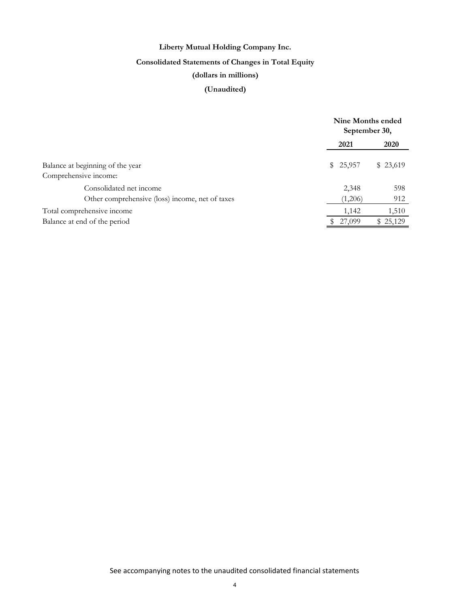# **Consolidated Statements of Changes in Total Equity**

# **(dollars in millions)**

|                                                 | Nine Months ended<br>September 30, |             |
|-------------------------------------------------|------------------------------------|-------------|
|                                                 | 2021                               | <b>2020</b> |
| Balance at beginning of the year                | \$25,957                           | \$ 23,619   |
| Comprehensive income:                           |                                    |             |
| Consolidated net income                         | 2,348                              | 598         |
| Other comprehensive (loss) income, net of taxes | (1,206)                            | 912         |
| Total comprehensive income                      | 1,142                              | 1,510       |
| Balance at end of the period                    | 27,099                             | \$25,129    |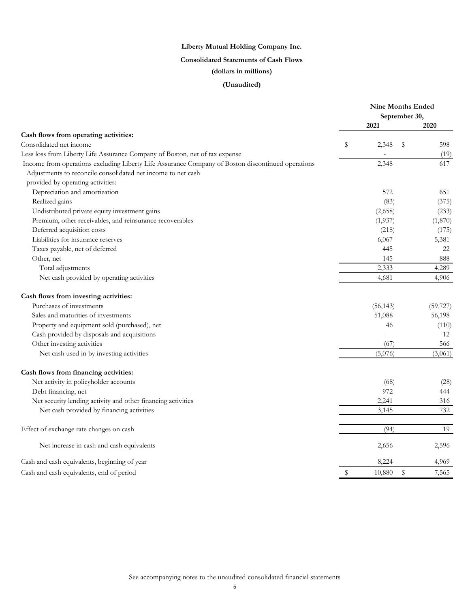# **Consolidated Statements of Cash Flows**

# **(dollars in millions)**

|                                                                                                   | <b>Nine Months Ended</b> |           |               |           |
|---------------------------------------------------------------------------------------------------|--------------------------|-----------|---------------|-----------|
|                                                                                                   |                          |           | September 30, |           |
|                                                                                                   |                          | 2021      |               | 2020      |
| Cash flows from operating activities:<br>Consolidated net income                                  |                          |           |               |           |
|                                                                                                   | \$                       | 2,348     | S             | 598       |
| Less loss from Liberty Life Assurance Company of Boston, net of tax expense                       |                          |           |               | (19)      |
| Income from operations excluding Liberty Life Assurance Company of Boston discontinued operations |                          | 2,348     |               | 617       |
| Adjustments to reconcile consolidated net income to net cash                                      |                          |           |               |           |
| provided by operating activities:                                                                 |                          |           |               |           |
| Depreciation and amortization                                                                     |                          | 572       |               | 651       |
| Realized gains                                                                                    |                          | (83)      |               | (375)     |
| Undistributed private equity investment gains                                                     |                          | (2,658)   |               | (233)     |
| Premium, other receivables, and reinsurance recoverables                                          |                          | (1,937)   |               | (1,870)   |
| Deferred acquisition costs                                                                        |                          | (218)     |               | (175)     |
| Liabilities for insurance reserves                                                                |                          | 6,067     |               | 5,381     |
| Taxes payable, net of deferred                                                                    |                          | 445       |               | 22        |
| Other, net                                                                                        |                          | 145       |               | 888       |
| Total adjustments                                                                                 |                          | 2,333     |               | 4,289     |
| Net cash provided by operating activities                                                         |                          | 4,681     |               | 4,906     |
| Cash flows from investing activities:                                                             |                          |           |               |           |
| Purchases of investments                                                                          |                          | (56, 143) |               | (59, 727) |
| Sales and maturities of investments                                                               |                          | 51,088    |               | 56,198    |
| Property and equipment sold (purchased), net                                                      |                          | 46        |               | (110)     |
| Cash provided by disposals and acquisitions                                                       |                          |           |               | 12        |
| Other investing activities                                                                        |                          | (67)      |               | 566       |
| Net cash used in by investing activities                                                          |                          | (5,076)   |               | (3,061)   |
| Cash flows from financing activities:                                                             |                          |           |               |           |
| Net activity in policyholder accounts                                                             |                          | (68)      |               | (28)      |
| Debt financing, net                                                                               |                          | 972       |               | 444       |
| Net security lending activity and other financing activities                                      |                          | 2,241     |               | 316       |
| Net cash provided by financing activities                                                         |                          | 3,145     |               | 732       |
| Effect of exchange rate changes on cash                                                           |                          | (94)      |               | 19        |
| Net increase in cash and cash equivalents                                                         |                          | 2,656     |               | 2,596     |
| Cash and cash equivalents, beginning of year                                                      |                          | 8,224     |               | 4,969     |
| Cash and cash equivalents, end of period                                                          | \$                       | 10,880    | \$            | 7,565     |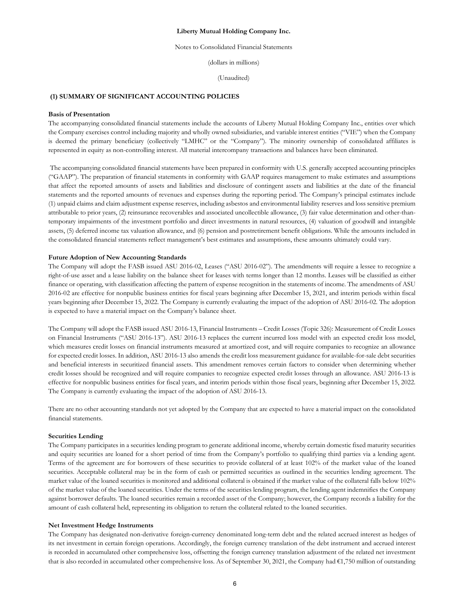Notes to Consolidated Financial Statements

(dollars in millions)

(Unaudited)

# **(1) SUMMARY OF SIGNIFICANT ACCOUNTING POLICIES**

#### **Basis of Presentation**

The accompanying consolidated financial statements include the accounts of Liberty Mutual Holding Company Inc., entities over which the Company exercises control including majority and wholly owned subsidiaries, and variable interest entities ("VIE") when the Company is deemed the primary beneficiary (collectively "LMHC" or the "Company"). The minority ownership of consolidated affiliates is represented in equity as non-controlling interest. All material intercompany transactions and balances have been eliminated.

 The accompanying consolidated financial statements have been prepared in conformity with U.S. generally accepted accounting principles ("GAAP"). The preparation of financial statements in conformity with GAAP requires management to make estimates and assumptions that affect the reported amounts of assets and liabilities and disclosure of contingent assets and liabilities at the date of the financial statements and the reported amounts of revenues and expenses during the reporting period. The Company's principal estimates include (1) unpaid claims and claim adjustment expense reserves, including asbestos and environmental liability reserves and loss sensitive premium attributable to prior years, (2) reinsurance recoverables and associated uncollectible allowance, (3) fair value determination and other-thantemporary impairments of the investment portfolio and direct investments in natural resources, (4) valuation of goodwill and intangible assets, (5) deferred income tax valuation allowance, and (6) pension and postretirement benefit obligations. While the amounts included in the consolidated financial statements reflect management's best estimates and assumptions, these amounts ultimately could vary.

#### **Future Adoption of New Accounting Standards**

The Company will adopt the FASB issued ASU 2016-02, Leases ("ASU 2016-02"). The amendments will require a lessee to recognize a right-of-use asset and a lease liability on the balance sheet for leases with terms longer than 12 months. Leases will be classified as either finance or operating, with classification affecting the pattern of expense recognition in the statements of income. The amendments of ASU 2016-02 are effective for nonpublic business entities for fiscal years beginning after December 15, 2021, and interim periods within fiscal years beginning after December 15, 2022. The Company is currently evaluating the impact of the adoption of ASU 2016-02. The adoption is expected to have a material impact on the Company's balance sheet.

The Company will adopt the FASB issued ASU 2016-13, Financial Instruments – Credit Losses (Topic 326): Measurement of Credit Losses on Financial Instruments ("ASU 2016-13"). ASU 2016-13 replaces the current incurred loss model with an expected credit loss model, which measures credit losses on financial instruments measured at amortized cost, and will require companies to recognize an allowance for expected credit losses. In addition, ASU 2016-13 also amends the credit loss measurement guidance for available-for-sale debt securities and beneficial interests in securitized financial assets. This amendment removes certain factors to consider when determining whether credit losses should be recognized and will require companies to recognize expected credit losses through an allowance. ASU 2016-13 is effective for nonpublic business entities for fiscal years, and interim periods within those fiscal years, beginning after December 15, 2022. The Company is currently evaluating the impact of the adoption of ASU 2016-13.

There are no other accounting standards not yet adopted by the Company that are expected to have a material impact on the consolidated financial statements.

#### **Securities Lending**

The Company participates in a securities lending program to generate additional income, whereby certain domestic fixed maturity securities and equity securities are loaned for a short period of time from the Company's portfolio to qualifying third parties via a lending agent. Terms of the agreement are for borrowers of these securities to provide collateral of at least 102% of the market value of the loaned securities. Acceptable collateral may be in the form of cash or permitted securities as outlined in the securities lending agreement. The market value of the loaned securities is monitored and additional collateral is obtained if the market value of the collateral falls below 102% of the market value of the loaned securities. Under the terms of the securities lending program, the lending agent indemnifies the Company against borrower defaults. The loaned securities remain a recorded asset of the Company; however, the Company records a liability for the amount of cash collateral held, representing its obligation to return the collateral related to the loaned securities.

#### **Net Investment Hedge Instruments**

The Company has designated non-derivative foreign-currency denominated long-term debt and the related accrued interest as hedges of its net investment in certain foreign operations. Accordingly, the foreign currency translation of the debt instrument and accrued interest is recorded in accumulated other comprehensive loss, offsetting the foreign currency translation adjustment of the related net investment that is also recorded in accumulated other comprehensive loss. As of September 30, 2021, the Company had €1,750 million of outstanding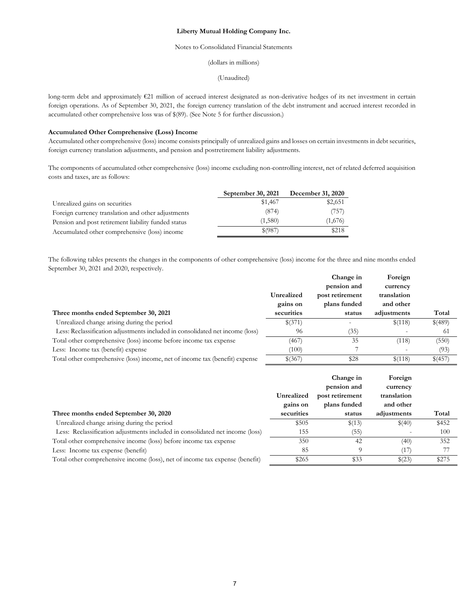## Notes to Consolidated Financial Statements

(dollars in millions)

(Unaudited)

long-term debt and approximately €21 million of accrued interest designated as non-derivative hedges of its net investment in certain foreign operations. As of September 30, 2021, the foreign currency translation of the debt instrument and accrued interest recorded in accumulated other comprehensive loss was of \$(89). (See Note 5 for further discussion.)

# **Accumulated Other Comprehensive (Loss) Income**

Accumulated other comprehensive (loss) income consists principally of unrealized gains and losses on certain investments in debt securities, foreign currency translation adjustments, and pension and postretirement liability adjustments.

The components of accumulated other comprehensive (loss) income excluding non-controlling interest, net of related deferred acquisition costs and taxes, are as follows:

|                                                     | September 30, 2021 | December 31, 2020 |
|-----------------------------------------------------|--------------------|-------------------|
| Unrealized gains on securities                      | \$1,467            | \$2,651           |
| Foreign currency translation and other adjustments  | (874)              | (757)             |
| Pension and post retirement liability funded status | (1,580)            | (1,676)           |
| Accumulated other comprehensive (loss) income       | $$^{(987)}$        | \$218             |

The following tables presents the changes in the components of other comprehensive (loss) income for the three and nine months ended September 30, 2021 and 2020, respectively.

|                                                                               |            | Change in       | Foreign     |         |
|-------------------------------------------------------------------------------|------------|-----------------|-------------|---------|
|                                                                               |            | pension and     | currency    |         |
|                                                                               | Unrealized | post retirement | translation |         |
|                                                                               | gains on   | plans funded    | and other   |         |
| Three months ended September 30, 2021                                         | securities | status          | adjustments | Total   |
| Unrealized change arising during the period                                   | \$(371)    |                 | \$(118)     | \$(489) |
| Less: Reclassification adjustments included in consolidated net income (loss) | 96         | (35)            |             | -61     |
| Total other comprehensive (loss) income before income tax expense             | (467)      | 35              | (118)       | (550)   |
| Less: Income tax (benefit) expense                                            | (100)      |                 |             | (93)    |
| Total other comprehensive (loss) income, net of income tax (benefit) expense  | \$(367)    | \$28            | \$(118)     | \$(457) |

|                                                                               | Unrealized<br>gains on | Change in<br>pension and<br>post retirement<br>plans funded | Foreign<br>currency<br>translation<br>and other |       |
|-------------------------------------------------------------------------------|------------------------|-------------------------------------------------------------|-------------------------------------------------|-------|
| Three months ended September 30, 2020                                         | securities             | status                                                      | adjustments                                     | Total |
| Unrealized change arising during the period                                   | \$505                  | \$(13)                                                      | \$(40)                                          | \$452 |
| Less: Reclassification adjustments included in consolidated net income (loss) | 155                    | (55)                                                        |                                                 | 100   |
| Total other comprehensive income (loss) before income tax expense             | 350                    | 42                                                          | (40)                                            | 352   |
| Less: Income tax expense (benefit)                                            | 85                     | $\Omega$                                                    | (17)                                            |       |
| Total other comprehensive income (loss), net of income tax expense (benefit)  | \$265                  | \$33                                                        | \$(23)                                          | \$275 |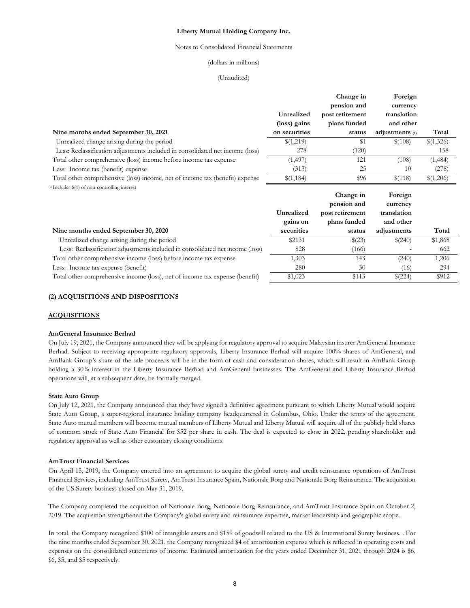#### Notes to Consolidated Financial Statements

### (dollars in millions)

#### (Unaudited)

|                                                                               |               | Change in<br>pension and | Foreign<br>currency |           |
|-------------------------------------------------------------------------------|---------------|--------------------------|---------------------|-----------|
|                                                                               | Unrealized    | post retirement          | translation         |           |
|                                                                               | (loss) gains  | plans funded             | and other           |           |
| Nine months ended September 30, 2021                                          | on securities | status                   | adjustments $(1)$   | Total     |
| Unrealized change arising during the period                                   | \$(1,219)     | \$1                      | \$(108)             | \$(1,326) |
| Less: Reclassification adjustments included in consolidated net income (loss) | 278           | (120)                    |                     | 158       |
| Total other comprehensive (loss) income before income tax expense             | (1, 497)      | 121                      | (108)               | (1,484)   |
| Less: Income tax (benefit) expense                                            | (313)         | 25                       | 10                  | (278)     |
| Total other comprehensive (loss) income, net of income tax (benefit) expense  | \$(1,184)     | \$96                     | \$(118)             | \$(1,206) |
| (1) Includes \$(1) of non-controlling interest                                |               |                          |                     |           |
|                                                                               |               | Change in                | Foreign             |           |
|                                                                               |               |                          |                     |           |
|                                                                               |               | pension and              | currency            |           |
|                                                                               | Unrealized    | post retirement          | translation         |           |
|                                                                               | gains on      | plans funded             | and other           |           |
| Nine months ended September 30, 2020                                          | securities    | status                   | adjustments         | Total     |
| Unrealized change arising during the period                                   | \$2131        | \$(23)                   | \$(240)             | \$1,868   |
| Less: Reclassification adjustments included in consolidated net income (loss) | 828           | (166)                    |                     | 662       |
| Total other comprehensive income (loss) before income tax expense             | 1,303         | 143                      | (240)               | 1,206     |

Total other comprehensive income (loss), net of income tax expense (benefit)  $$1,023$   $$113$   $$(224)$   $$912$ 

# **(2) ACQUISITIONS AND DISPOSITIONS**

### **ACQUISITIONS**

#### **AmGeneral Insurance Berhad**

On July 19, 2021, the Company announced they will be applying for regulatory approval to acquire Malaysian insurer AmGeneral Insurance Berhad. Subject to receiving appropriate regulatory approvals, Liberty Insurance Berhad will acquire 100% shares of AmGeneral, and AmBank Group's share of the sale proceeds will be in the form of cash and consideration shares, which will result in AmBank Group holding a 30% interest in the Liberty Insurance Berhad and AmGeneral businesses. The AmGeneral and Liberty Insurance Berhad operations will, at a subsequent date, be formally merged.

### **State Auto Group**

On July 12, 2021, the Company announced that they have signed a definitive agreement pursuant to which Liberty Mutual would acquire State Auto Group, a super-regional insurance holding company headquartered in Columbus, Ohio. Under the terms of the agreement, State Auto mutual members will become mutual members of Liberty Mutual and Liberty Mutual will acquire all of the publicly held shares of common stock of State Auto Financial for \$52 per share in cash. The deal is expected to close in 2022, pending shareholder and regulatory approval as well as other customary closing conditions.

### **AmTrust Financial Services**

On April 15, 2019, the Company entered into an agreement to acquire the global surety and credit reinsurance operations of AmTrust Financial Services, including AmTrust Surety, AmTrust Insurance Spain, Nationale Borg and Nationale Borg Reinsurance. The acquisition of the US Surety business closed on May 31, 2019.

The Company completed the acquisition of Nationale Borg, Nationale Borg Reinsurance, and AmTrust Insurance Spain on October 2, 2019. The acquisition strengthened the Company's global surety and reinsurance expertise, market leadership and geographic scope.

In total, the Company recognized \$100 of intangible assets and \$159 of goodwill related to the US & International Surety business. . For the nine months ended September 30, 2021, the Company recognized \$4 of amortization expense which is reflected in operating costs and expenses on the consolidated statements of income. Estimated amortization for the years ended December 31, 2021 through 2024 is \$6, \$6, \$5, and \$5 respectively.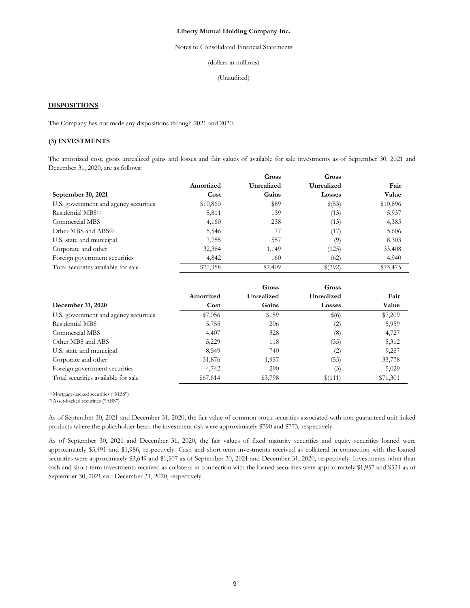Notes to Consolidated Financial Statements

(dollars in millions)

(Unaudited)

## **DISPOSITIONS**

The Company has not made any dispositions through 2021 and 2020.

# **(3) INVESTMENTS**

The amortized cost, gross unrealized gains and losses and fair values of available for sale investments as of September 30, 2021 and December 31, 2020, are as follows:

|                                       |           | Gross      | Gross         |          |
|---------------------------------------|-----------|------------|---------------|----------|
|                                       | Amortized | Unrealized | Unrealized    | Fair     |
| September 30, 2021                    | Cost      | Gains      | <b>Losses</b> | Value    |
| U.S. government and agency securities | \$10,860  | \$89       | \$(53)        | \$10,896 |
| Residential MBS <sup>(1)</sup>        | 5,811     | 139        | (13)          | 5,937    |
| Commercial MBS                        | 4,160     | 238        | (13)          | 4,385    |
| Other MBS and ABS <sup>(2)</sup>      | 5,546     | 77         | (17)          | 5,606    |
| U.S. state and municipal              | 7,755     | 557        | (9)           | 8,303    |
| Corporate and other                   | 32,384    | 1,149      | (125)         | 33,408   |
| Foreign government securities         | 4,842     | 160        | (62)          | 4,940    |
| Total securities available for sale   | \$71,358  | \$2,409    | \$(292)       | \$73,475 |

|                                       |           | Gross      | Gross             |          |
|---------------------------------------|-----------|------------|-------------------|----------|
|                                       | Amortized | Unrealized | Unrealized        | Fair     |
| December 31, 2020                     | Cost      | Gains      | <b>Losses</b>     | Value    |
| U.S. government and agency securities | \$7,056   | \$159      | \$(6)             | \$7,209  |
| Residential MBS                       | 5,755     | 206        | $\left( 2\right)$ | 5,959    |
| Commercial MBS                        | 4,407     | 328        | (8)               | 4,727    |
| Other MBS and ABS                     | 5,229     | 118        | (35)              | 5,312    |
| U.S. state and municipal              | 8,549     | 740        | $\left( 2\right)$ | 9,287    |
| Corporate and other                   | 31,876    | 1,957      | (55)              | 33,778   |
| Foreign government securities         | 4,742     | 290        | (3)               | 5,029    |
| Total securities available for sale   | \$67,614  | \$3,798    | \$(111)           | \$71,301 |

(1) Mortgage-backed securities ("MBS")

(2) Asset-backed securities ("ABS")

As of September 30, 2021 and December 31, 2020, the fair value of common stock securities associated with non-guaranteed unit linked products where the policyholder bears the investment risk were approximately \$790 and \$773, respectively.

As of September 30, 2021 and December 31, 2020, the fair values of fixed maturity securities and equity securities loaned were approximately \$5,491 and \$1,986, respectively. Cash and short-term investments received as collateral in connection with the loaned securities were approximately \$3,649 and \$1,507 as of September 30, 2021 and December 31, 2020, respectively. Investments other than cash and short-term investments received as collateral in connection with the loaned securities were approximately \$1,957 and \$521 as of September 30, 2021 and December 31, 2020, respectively.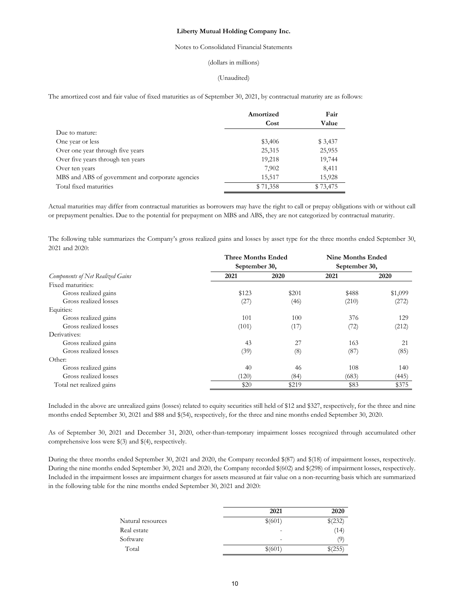### Notes to Consolidated Financial Statements

### (dollars in millions)

#### (Unaudited)

The amortized cost and fair value of fixed maturities as of September 30, 2021, by contractual maturity are as follows:

|                                                  | Amortized | Fair     |
|--------------------------------------------------|-----------|----------|
|                                                  | Cost      | Value    |
| Due to mature:                                   |           |          |
| One year or less                                 | \$3,406   | \$ 3,437 |
| Over one year through five years                 | 25,315    | 25,955   |
| Over five years through ten years                | 19,218    | 19,744   |
| Over ten years                                   | 7,902     | 8,411    |
| MBS and ABS of government and corporate agencies | 15,517    | 15,928   |
| Total fixed maturities                           | \$71,358  | \$73,475 |

Actual maturities may differ from contractual maturities as borrowers may have the right to call or prepay obligations with or without call or prepayment penalties. Due to the potential for prepayment on MBS and ABS, they are not categorized by contractual maturity.

The following table summarizes the Company's gross realized gains and losses by asset type for the three months ended September 30, 2021 and 2020:

|                                         | <b>Three Months Ended</b> |       | <b>Nine Months Ended</b> |         |  |
|-----------------------------------------|---------------------------|-------|--------------------------|---------|--|
|                                         | September 30,             |       | September 30,            |         |  |
| <b>Components of Net Realized Gains</b> | 2021                      | 2020  | 2021                     | 2020    |  |
| Fixed maturities:                       |                           |       |                          |         |  |
| Gross realized gains                    | \$123                     | \$201 | \$488                    | \$1,099 |  |
| Gross realized losses                   | (27)                      | (46)  | (210)                    | (272)   |  |
| Equities:                               |                           |       |                          |         |  |
| Gross realized gains                    | 101                       | 100   | 376                      | 129     |  |
| Gross realized losses                   | (101)                     | (17)  | (72)                     | (212)   |  |
| Derivatives:                            |                           |       |                          |         |  |
| Gross realized gains                    | 43                        | 27    | 163                      | 21      |  |
| Gross realized losses                   | (39)                      | (8)   | (87)                     | (85)    |  |
| Other:                                  |                           |       |                          |         |  |
| Gross realized gains                    | 40                        | 46    | 108                      | 140     |  |
| Gross realized losses                   | (120)                     | (84)  | (683)                    | (445)   |  |
| Total net realized gains                | \$20                      | \$219 | \$83                     | \$375   |  |

Included in the above are unrealized gains (losses) related to equity securities still held of \$12 and \$327, respectively, for the three and nine months ended September 30, 2021 and \$88 and \$(54), respectively, for the three and nine months ended September 30, 2020.

As of September 30, 2021 and December 31, 2020, other-than-temporary impairment losses recognized through accumulated other comprehensive loss were \$(3) and \$(4), respectively.

During the three months ended September 30, 2021 and 2020, the Company recorded \$(87) and \$(18) of impairment losses, respectively. During the nine months ended September 30, 2021 and 2020, the Company recorded \$(602) and \$(298) of impairment losses, respectively. Included in the impairment losses are impairment charges for assets measured at fair value on a non-recurring basis which are summarized in the following table for the nine months ended September 30, 2021 and 2020:

|                   | 2021                     | 2020              |
|-------------------|--------------------------|-------------------|
| Natural resources | \$(601)                  | \$(232)           |
| Real estate       | $\overline{\phantom{0}}$ | (14)              |
| Software          | -                        | $\left( 9\right)$ |
| Total             | \$(601)                  | \$(255)           |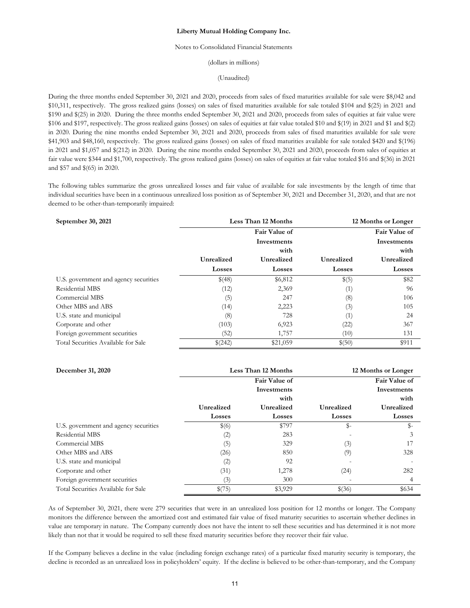## Notes to Consolidated Financial Statements

(dollars in millions)

(Unaudited)

During the three months ended September 30, 2021 and 2020, proceeds from sales of fixed maturities available for sale were \$8,042 and \$10,311, respectively. The gross realized gains (losses) on sales of fixed maturities available for sale totaled \$104 and \$(25) in 2021 and \$190 and \$(25) in 2020. During the three months ended September 30, 2021 and 2020, proceeds from sales of equities at fair value were \$106 and \$197, respectively. The gross realized gains (losses) on sales of equities at fair value totaled \$10 and \$(19) in 2021 and \$1 and \$(2) in 2020. During the nine months ended September 30, 2021 and 2020, proceeds from sales of fixed maturities available for sale were \$41,903 and \$48,160, respectively. The gross realized gains (losses) on sales of fixed maturities available for sale totaled \$420 and \$(196) in 2021 and \$1,057 and \$(212) in 2020. During the nine months ended September 30, 2021 and 2020, proceeds from sales of equities at fair value were \$344 and \$1,700, respectively. The gross realized gains (losses) on sales of equities at fair value totaled \$16 and \$(36) in 2021 and \$57 and \$(65) in 2020.

The following tables summarize the gross unrealized losses and fair value of available for sale investments by the length of time that individual securities have been in a continuous unrealized loss position as of September 30, 2021 and December 31, 2020, and that are not deemed to be other-than-temporarily impaired:

| September 30, 2021                    | Less Than 12 Months<br>12 Months or Longer |               |               |               |
|---------------------------------------|--------------------------------------------|---------------|---------------|---------------|
|                                       |                                            | Fair Value of |               | Fair Value of |
|                                       |                                            | Investments   |               | Investments   |
|                                       |                                            | with          |               | with          |
|                                       | Unrealized                                 | Unrealized    | Unrealized    | Unrealized    |
|                                       | <b>Losses</b>                              | <b>Losses</b> | <b>Losses</b> | <b>Losses</b> |
| U.S. government and agency securities | \$(48)                                     | \$6,812       | \$(5)         | \$82          |
| Residential MBS                       | (12)                                       | 2,369         | (1)           | 96            |
| Commercial MBS                        | (5)                                        | 247           | (8)           | 106           |
| Other MBS and ABS                     | (14)                                       | 2,223         | (3)           | 105           |
| U.S. state and municipal              | (8)                                        | 728           | (1)           | 24            |
| Corporate and other                   | (103)                                      | 6,923         | (22)          | 367           |
| Foreign government securities         | (52)                                       | 1,757         | (10)          | 131           |
| Total Securities Available for Sale   | \$(242)                                    | \$21,059      | \$(50)        | \$911         |

| December 31, 2020                     | Less Than 12 Months |               |                | 12 Months or Longer |
|---------------------------------------|---------------------|---------------|----------------|---------------------|
|                                       |                     | Fair Value of |                | Fair Value of       |
|                                       |                     | Investments   |                | Investments         |
|                                       |                     | with          |                | with                |
|                                       | Unrealized          | Unrealized    | Unrealized     | Unrealized          |
|                                       | Losses              | <b>Losses</b> | <b>Losses</b>  | <b>Losses</b>       |
| U.S. government and agency securities | \$(6)               | \$797         | $\mathbb{S}^-$ | $S-$                |
| Residential MBS                       | (2)                 | 283           |                | 3                   |
| Commercial MBS                        | (5)                 | 329           | (3)            |                     |
| Other MBS and ABS                     | (26)                | 850           | (9)            | 328                 |
| U.S. state and municipal              | (2)                 | 92            |                |                     |
| Corporate and other                   | (31)                | 1,278         | (24)           | 282                 |
| Foreign government securities         | (3)                 | 300           |                | 4                   |
| Total Securities Available for Sale   | \$(75)              | \$3,929       | \$(36)         | \$634               |

As of September 30, 2021, there were 279 securities that were in an unrealized loss position for 12 months or longer. The Company monitors the difference between the amortized cost and estimated fair value of fixed maturity securities to ascertain whether declines in value are temporary in nature. The Company currently does not have the intent to sell these securities and has determined it is not more likely than not that it would be required to sell these fixed maturity securities before they recover their fair value.

If the Company believes a decline in the value (including foreign exchange rates) of a particular fixed maturity security is temporary, the decline is recorded as an unrealized loss in policyholders' equity. If the decline is believed to be other-than-temporary, and the Company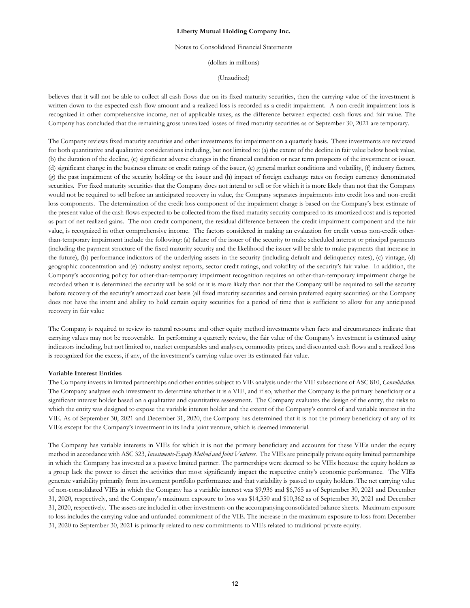#### Notes to Consolidated Financial Statements

(dollars in millions)

(Unaudited)

believes that it will not be able to collect all cash flows due on its fixed maturity securities, then the carrying value of the investment is written down to the expected cash flow amount and a realized loss is recorded as a credit impairment. A non-credit impairment loss is recognized in other comprehensive income, net of applicable taxes, as the difference between expected cash flows and fair value. The Company has concluded that the remaining gross unrealized losses of fixed maturity securities as of September 30, 2021 are temporary.

The Company reviews fixed maturity securities and other investments for impairment on a quarterly basis. These investments are reviewed for both quantitative and qualitative considerations including, but not limited to: (a) the extent of the decline in fair value below book value, (b) the duration of the decline, (c) significant adverse changes in the financial condition or near term prospects of the investment or issuer, (d) significant change in the business climate or credit ratings of the issuer, (e) general market conditions and volatility, (f) industry factors, (g) the past impairment of the security holding or the issuer and (h) impact of foreign exchange rates on foreign currency denominated securities. For fixed maturity securities that the Company does not intend to sell or for which it is more likely than not that the Company would not be required to sell before an anticipated recovery in value, the Company separates impairments into credit loss and non-credit loss components. The determination of the credit loss component of the impairment charge is based on the Company's best estimate of the present value of the cash flows expected to be collected from the fixed maturity security compared to its amortized cost and is reported as part of net realized gains. The non-credit component, the residual difference between the credit impairment component and the fair value, is recognized in other comprehensive income. The factors considered in making an evaluation for credit versus non-credit otherthan-temporary impairment include the following: (a) failure of the issuer of the security to make scheduled interest or principal payments (including the payment structure of the fixed maturity security and the likelihood the issuer will be able to make payments that increase in the future), (b) performance indicators of the underlying assets in the security (including default and delinquency rates), (c) vintage, (d) geographic concentration and (e) industry analyst reports, sector credit ratings, and volatility of the security's fair value. In addition, the Company's accounting policy for other-than-temporary impairment recognition requires an other-than-temporary impairment charge be recorded when it is determined the security will be sold or it is more likely than not that the Company will be required to sell the security before recovery of the security's amortized cost basis (all fixed maturity securities and certain preferred equity securities) or the Company does not have the intent and ability to hold certain equity securities for a period of time that is sufficient to allow for any anticipated recovery in fair value

The Company is required to review its natural resource and other equity method investments when facts and circumstances indicate that carrying values may not be recoverable. In performing a quarterly review, the fair value of the Company's investment is estimated using indicators including, but not limited to, market comparables and analyses, commodity prices, and discounted cash flows and a realized loss is recognized for the excess, if any, of the investment's carrying value over its estimated fair value.

#### **Variable Interest Entities**

The Company invests in limited partnerships and other entities subject to VIE analysis under the VIE subsections of ASC 810, *Consolidation*. The Company analyzes each investment to determine whether it is a VIE, and if so, whether the Company is the primary beneficiary or a significant interest holder based on a qualitative and quantitative assessment. The Company evaluates the design of the entity, the risks to which the entity was designed to expose the variable interest holder and the extent of the Company's control of and variable interest in the VIE. As of September 30, 2021 and December 31, 2020, the Company has determined that it is not the primary beneficiary of any of its VIEs except for the Company's investment in its India joint venture, which is deemed immaterial.

The Company has variable interests in VIEs for which it is not the primary beneficiary and accounts for these VIEs under the equity method in accordance with ASC 323, *Investments-Equity Method and Joint Ventures*. The VIEs are principally private equity limited partnerships in which the Company has invested as a passive limited partner. The partnerships were deemed to be VIEs because the equity holders as a group lack the power to direct the activities that most significantly impact the respective entity's economic performance. The VIEs generate variability primarily from investment portfolio performance and that variability is passed to equity holders. The net carrying value of non-consolidated VIEs in which the Company has a variable interest was \$9,936 and \$6,765 as of September 30, 2021 and December 31, 2020, respectively, and the Company's maximum exposure to loss was \$14,350 and \$10,362 as of September 30, 2021 and December 31, 2020, respectively. The assets are included in other investments on the accompanying consolidated balance sheets. Maximum exposure to loss includes the carrying value and unfunded commitment of the VIE. The increase in the maximum exposure to loss from December 31, 2020 to September 30, 2021 is primarily related to new commitments to VIEs related to traditional private equity.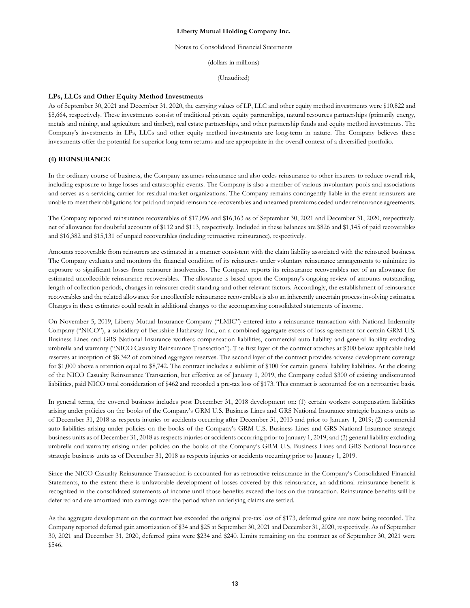Notes to Consolidated Financial Statements

(dollars in millions)

(Unaudited)

### **LPs, LLCs and Other Equity Method Investments**

As of September 30, 2021 and December 31, 2020, the carrying values of LP, LLC and other equity method investments were \$10,822 and \$8,664, respectively. These investments consist of traditional private equity partnerships, natural resources partnerships (primarily energy, metals and mining, and agriculture and timber), real estate partnerships, and other partnership funds and equity method investments. The Company's investments in LPs, LLCs and other equity method investments are long-term in nature. The Company believes these investments offer the potential for superior long-term returns and are appropriate in the overall context of a diversified portfolio.

## **(4) REINSURANCE**

In the ordinary course of business, the Company assumes reinsurance and also cedes reinsurance to other insurers to reduce overall risk, including exposure to large losses and catastrophic events. The Company is also a member of various involuntary pools and associations and serves as a servicing carrier for residual market organizations. The Company remains contingently liable in the event reinsurers are unable to meet their obligations for paid and unpaid reinsurance recoverables and unearned premiums ceded under reinsurance agreements.

The Company reported reinsurance recoverables of \$17,096 and \$16,163 as of September 30, 2021 and December 31, 2020, respectively, net of allowance for doubtful accounts of \$112 and \$113, respectively. Included in these balances are \$826 and \$1,145 of paid recoverables and \$16,382 and \$15,131 of unpaid recoverables (including retroactive reinsurance), respectively.

Amounts recoverable from reinsurers are estimated in a manner consistent with the claim liability associated with the reinsured business. The Company evaluates and monitors the financial condition of its reinsurers under voluntary reinsurance arrangements to minimize its exposure to significant losses from reinsurer insolvencies. The Company reports its reinsurance recoverables net of an allowance for estimated uncollectible reinsurance recoverables. The allowance is based upon the Company's ongoing review of amounts outstanding, length of collection periods, changes in reinsurer credit standing and other relevant factors. Accordingly, the establishment of reinsurance recoverables and the related allowance for uncollectible reinsurance recoverables is also an inherently uncertain process involving estimates. Changes in these estimates could result in additional charges to the accompanying consolidated statements of income.

On November 5, 2019, Liberty Mutual Insurance Company ("LMIC") entered into a reinsurance transaction with National Indemnity Company ("NICO"), a subsidiary of Berkshire Hathaway Inc., on a combined aggregate excess of loss agreement for certain GRM U.S. Business Lines and GRS National Insurance workers compensation liabilities, commercial auto liability and general liability excluding umbrella and warranty ("NICO Casualty Reinsurance Transaction"). The first layer of the contract attaches at \$300 below applicable held reserves at inception of \$8,342 of combined aggregate reserves. The second layer of the contract provides adverse development coverage for \$1,000 above a retention equal to \$8,742. The contract includes a sublimit of \$100 for certain general liability liabilities. At the closing of the NICO Casualty Reinsurance Transaction, but effective as of January 1, 2019, the Company ceded \$300 of existing undiscounted liabilities, paid NICO total consideration of \$462 and recorded a pre-tax loss of \$173. This contract is accounted for on a retroactive basis.

In general terms, the covered business includes post December 31, 2018 development on: (1) certain workers compensation liabilities arising under policies on the books of the Company's GRM U.S. Business Lines and GRS National Insurance strategic business units as of December 31, 2018 as respects injuries or accidents occurring after December 31, 2013 and prior to January 1, 2019; (2) commercial auto liabilities arising under policies on the books of the Company's GRM U.S. Business Lines and GRS National Insurance strategic business units as of December 31, 2018 as respects injuries or accidents occurring prior to January 1, 2019; and (3) general liability excluding umbrella and warranty arising under policies on the books of the Company's GRM U.S. Business Lines and GRS National Insurance strategic business units as of December 31, 2018 as respects injuries or accidents occurring prior to January 1, 2019.

Since the NICO Casualty Reinsurance Transaction is accounted for as retroactive reinsurance in the Company's Consolidated Financial Statements, to the extent there is unfavorable development of losses covered by this reinsurance, an additional reinsurance benefit is recognized in the consolidated statements of income until those benefits exceed the loss on the transaction. Reinsurance benefits will be deferred and are amortized into earnings over the period when underlying claims are settled.

As the aggregate development on the contract has exceeded the original pre-tax loss of \$173, deferred gains are now being recorded. The Company reported deferred gain amortization of \$34 and \$25 at September 30, 2021 and December 31, 2020, respectively. As of September 30, 2021 and December 31, 2020, deferred gains were \$234 and \$240. Limits remaining on the contract as of September 30, 2021 were \$546.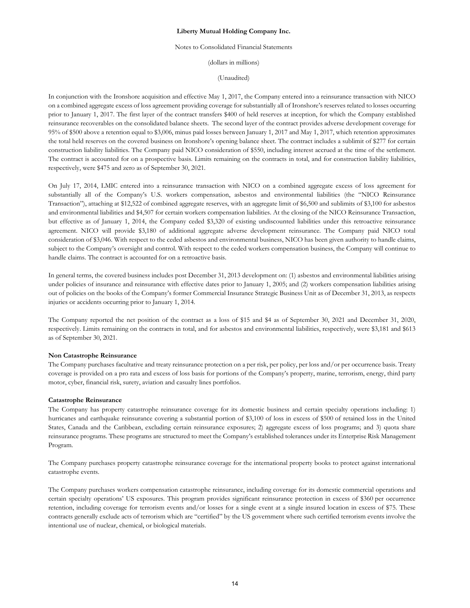#### Notes to Consolidated Financial Statements

(dollars in millions)

(Unaudited)

In conjunction with the Ironshore acquisition and effective May 1, 2017, the Company entered into a reinsurance transaction with NICO on a combined aggregate excess of loss agreement providing coverage for substantially all of Ironshore's reserves related to losses occurring prior to January 1, 2017. The first layer of the contract transfers \$400 of held reserves at inception, for which the Company established reinsurance recoverables on the consolidated balance sheets. The second layer of the contract provides adverse development coverage for 95% of \$500 above a retention equal to \$3,006, minus paid losses between January 1, 2017 and May 1, 2017, which retention approximates the total held reserves on the covered business on Ironshore's opening balance sheet. The contract includes a sublimit of \$277 for certain construction liability liabilities. The Company paid NICO consideration of \$550, including interest accrued at the time of the settlement. The contract is accounted for on a prospective basis. Limits remaining on the contracts in total, and for construction liability liabilities, respectively, were \$475 and zero as of September 30, 2021.

On July 17, 2014, LMIC entered into a reinsurance transaction with NICO on a combined aggregate excess of loss agreement for substantially all of the Company's U.S. workers compensation, asbestos and environmental liabilities (the "NICO Reinsurance Transaction"), attaching at \$12,522 of combined aggregate reserves, with an aggregate limit of \$6,500 and sublimits of \$3,100 for asbestos and environmental liabilities and \$4,507 for certain workers compensation liabilities. At the closing of the NICO Reinsurance Transaction, but effective as of January 1, 2014, the Company ceded \$3,320 of existing undiscounted liabilities under this retroactive reinsurance agreement. NICO will provide \$3,180 of additional aggregate adverse development reinsurance. The Company paid NICO total consideration of \$3,046. With respect to the ceded asbestos and environmental business, NICO has been given authority to handle claims, subject to the Company's oversight and control. With respect to the ceded workers compensation business, the Company will continue to handle claims. The contract is accounted for on a retroactive basis.

In general terms, the covered business includes post December 31, 2013 development on: (1) asbestos and environmental liabilities arising under policies of insurance and reinsurance with effective dates prior to January 1, 2005; and (2) workers compensation liabilities arising out of policies on the books of the Company's former Commercial Insurance Strategic Business Unit as of December 31, 2013, as respects injuries or accidents occurring prior to January 1, 2014.

The Company reported the net position of the contract as a loss of \$15 and \$4 as of September 30, 2021 and December 31, 2020, respectively. Limits remaining on the contracts in total, and for asbestos and environmental liabilities, respectively, were \$3,181 and \$613 as of September 30, 2021.

#### **Non Catastrophe Reinsurance**

The Company purchases facultative and treaty reinsurance protection on a per risk, per policy, per loss and/or per occurrence basis. Treaty coverage is provided on a pro rata and excess of loss basis for portions of the Company's property, marine, terrorism, energy, third party motor, cyber, financial risk, surety, aviation and casualty lines portfolios.

#### **Catastrophe Reinsurance**

The Company has property catastrophe reinsurance coverage for its domestic business and certain specialty operations including: 1) hurricanes and earthquake reinsurance covering a substantial portion of \$3,100 of loss in excess of \$500 of retained loss in the United States, Canada and the Caribbean, excluding certain reinsurance exposures; 2) aggregate excess of loss programs; and 3) quota share reinsurance programs. These programs are structured to meet the Company's established tolerances under its Enterprise Risk Management Program.

The Company purchases property catastrophe reinsurance coverage for the international property books to protect against international catastrophe events.

The Company purchases workers compensation catastrophe reinsurance, including coverage for its domestic commercial operations and certain specialty operations' US exposures. This program provides significant reinsurance protection in excess of \$360 per occurrence retention, including coverage for terrorism events and/or losses for a single event at a single insured location in excess of \$75. These contracts generally exclude acts of terrorism which are "certified" by the US government where such certified terrorism events involve the intentional use of nuclear, chemical, or biological materials.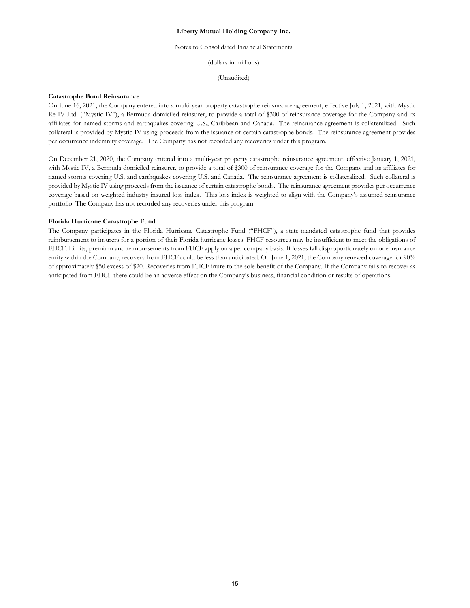## Notes to Consolidated Financial Statements

(dollars in millions)

(Unaudited)

### **Catastrophe Bond Reinsurance**

On June 16, 2021, the Company entered into a multi-year property catastrophe reinsurance agreement, effective July 1, 2021, with Mystic Re IV Ltd. ("Mystic IV"), a Bermuda domiciled reinsurer, to provide a total of \$300 of reinsurance coverage for the Company and its affiliates for named storms and earthquakes covering U.S., Caribbean and Canada. The reinsurance agreement is collateralized. Such collateral is provided by Mystic IV using proceeds from the issuance of certain catastrophe bonds. The reinsurance agreement provides per occurrence indemnity coverage. The Company has not recorded any recoveries under this program.

On December 21, 2020, the Company entered into a multi-year property catastrophe reinsurance agreement, effective January 1, 2021, with Mystic IV, a Bermuda domiciled reinsurer, to provide a total of \$300 of reinsurance coverage for the Company and its affiliates for named storms covering U.S. and earthquakes covering U.S. and Canada. The reinsurance agreement is collateralized. Such collateral is provided by Mystic IV using proceeds from the issuance of certain catastrophe bonds. The reinsurance agreement provides per occurrence coverage based on weighted industry insured loss index. This loss index is weighted to align with the Company's assumed reinsurance portfolio. The Company has not recorded any recoveries under this program.

#### **Florida Hurricane Catastrophe Fund**

The Company participates in the Florida Hurricane Catastrophe Fund ("FHCF"), a state-mandated catastrophe fund that provides reimbursement to insurers for a portion of their Florida hurricane losses. FHCF resources may be insufficient to meet the obligations of FHCF. Limits, premium and reimbursements from FHCF apply on a per company basis. If losses fall disproportionately on one insurance entity within the Company, recovery from FHCF could be less than anticipated. On June 1, 2021, the Company renewed coverage for 90% of approximately \$50 excess of \$20. Recoveries from FHCF inure to the sole benefit of the Company. If the Company fails to recover as anticipated from FHCF there could be an adverse effect on the Company's business, financial condition or results of operations.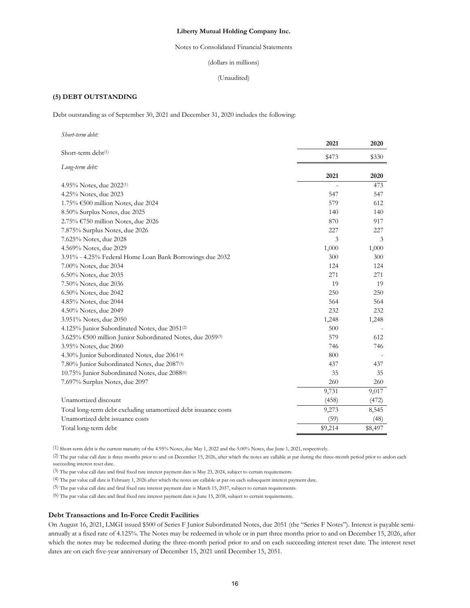Notes to Consolidated Financial Statements

## (dollars in millions)

(Unaudited)

# **(5) DEBT OUTSTANDING**

Debt outstanding as of September 30, 2021 and December 31, 2020 includes the following:

| Short-term debt:                                               |         |             |
|----------------------------------------------------------------|---------|-------------|
|                                                                | 2021    | 2020        |
| Short-term debt(1)                                             | \$473   | \$330       |
| Long-term debt:                                                | 2021    |             |
|                                                                |         | 2020<br>473 |
| 4.95% Notes, due $2022^{(1)}$                                  |         |             |
| 4.25% Notes, due 2023                                          | 547     | 547         |
| 1.75% €500 million Notes, due 2024                             | 579     | 612         |
| 8.50% Surplus Notes, due 2025                                  | 140     | 140         |
| 2.75% €750 million Notes, due 2026                             | 870     | 917         |
| 7.875% Surplus Notes, due 2026                                 | 227     | 227         |
| 7.625% Notes, due 2028                                         | 3       | 3           |
| 4.569% Notes, due 2029                                         | 1,000   | 1,000       |
| 3.91% - 4.25% Federal Home Loan Bank Borrowings due 2032       | 300     | 300         |
| 7.00% Notes, due 2034                                          | 124     | 124         |
| 6.50% Notes, due 2035                                          | 271     | 271         |
| 7.50% Notes, due 2036                                          | 19      | 19          |
| 6.50% Notes, due 2042                                          | 250     | 250         |
| 4.85% Notes, due 2044                                          | 564     | 564         |
| 4.50% Notes, due 2049                                          | 232     | 232         |
| 3.951% Notes, due 2050                                         | 1,248   | 1,248       |
| 4.125% Junior Subordinated Notes, due 2051(2)                  | 500     |             |
| 3.625% €500 million Junior Subordinated Notes, due 2059(3)     | 579     | 612         |
| 3.95% Notes, due 2060                                          | 746     | 746         |
| 4.30% Junior Subordinated Notes, due 2061 <sup>(4)</sup>       | 800     |             |
| 7.80% Junior Subordinated Notes, due 2087(5)                   | 437     | 437         |
| 10.75% Junior Subordinated Notes, due 2088 <sup>(6)</sup>      | 35      | 35          |
| 7.697% Surplus Notes, due 2097                                 | 260     | 260         |
|                                                                | 9,731   | 9,017       |
| Unamortized discount                                           | (458)   | (472)       |
| Total long-term debt excluding unamortized debt issuance costs | 9,273   | 8,545       |
| Unamortized debt issuance costs                                | (59)    | (48)        |
| Total long-term debt                                           | \$9,214 | \$8,497     |
|                                                                |         |             |

(1) Short-term debt is the current maturity of the 4.95% Notes, due May 1, 2022 and the 5.00% Notes, due June 1, 2021, respectively.

(2) The par value call date is three months prior to and on December 15, 2026, after which the notes are callable at par during the three-month period prior to and on each succeeding interest reset date.

(3) The par value call date and final fixed rate interest payment date is May 23, 2024, subject to certain requirements.

(4) The par value call date is February 1, 2026 after which the notes are callable at par on each subsequent interest payment date.

(5) The par value call date and final fixed rate interest payment date is March 15, 2037, subject to certain requirements.

(6) The par value call date and final fixed rate interest payment date is June 15, 2038, subject to certain requirements.

# **Debt Transactions and In-Force Credit Facilities**

On August 16, 2021, LMGI issued \$500 of Series F Junior Subordinated Notes, due 2051 (the "Series F Notes"). Interest is payable semiannually at a fixed rate of 4.125%. The Notes may be redeemed in whole or in part three months prior to and on December 15, 2026, after which the notes may be redeemed during the three-month period prior to and on each succeeding interest reset date. The interest reset dates are on each five-year anniversary of December 15, 2021 until December 15, 2051.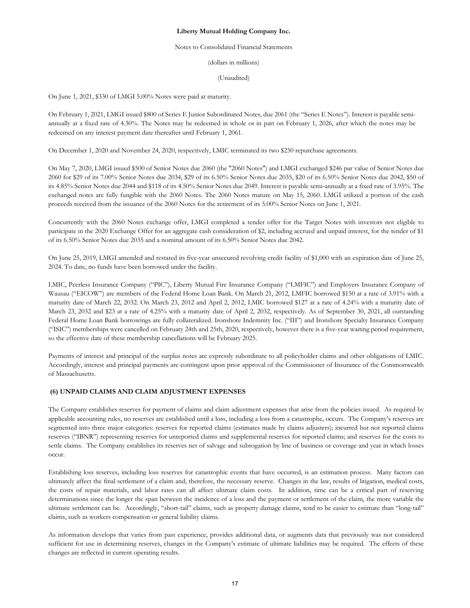### Notes to Consolidated Financial Statements

(dollars in millions)

(Unaudited)

On June 1, 2021, \$330 of LMGI 5.00% Notes were paid at maturity.

On February 1, 2021, LMGI issued \$800 of Series E Junior Subordinated Notes, due 2061 (the "Series E Notes"). Interest is payable semiannually at a fixed rate of 4.30%. The Notes may be redeemed in whole or in part on February 1, 2026, after which the notes may be redeemed on any interest payment date thereafter until February 1, 2061.

On December 1, 2020 and November 24, 2020, respectively, LMIC terminated its two \$250 repurchase agreements.

On May 7, 2020, LMGI issued \$500 of Senior Notes due 2060 (the "2060 Notes") and LMGI exchanged \$246 par value of Senior Notes due 2060 for \$29 of its 7.00% Senior Notes due 2034, \$29 of its 6.50% Senior Notes due 2035, \$20 of its 6.50% Senior Notes due 2042, \$50 of its 4.85% Senior Notes due 2044 and \$118 of its 4.50% Senior Notes due 2049. Interest is payable semi-annually at a fixed rate of 3.95%. The exchanged notes are fully fungible with the 2060 Notes. The 2060 Notes mature on May 15, 2060. LMGI utilized a portion of the cash proceeds received from the issuance of the 2060 Notes for the retirement of its 5.00% Senior Notes on June 1, 2021.

Concurrently with the 2060 Notes exchange offer, LMGI completed a tender offer for the Target Notes with investors not eligible to participate in the 2020 Exchange Offer for an aggregate cash consideration of \$2, including accrued and unpaid interest, for the tender of \$1 of its 6.50% Senior Notes due 2035 and a nominal amount of its 6.50% Senior Notes due 2042.

On June 25, 2019, LMGI amended and restated its five-year unsecured revolving credit facility of \$1,000 with an expiration date of June 25, 2024. To date, no funds have been borrowed under the facility.

LMIC, Peerless Insurance Company ("PIC"), Liberty Mutual Fire Insurance Company ("LMFIC") and Employers Insurance Company of Wausau ("EICOW") are members of the Federal Home Loan Bank. On March 21, 2012, LMFIC borrowed \$150 at a rate of 3.91% with a maturity date of March 22, 2032. On March 23, 2012 and April 2, 2012, LMIC borrowed \$127 at a rate of 4.24% with a maturity date of March 23, 2032 and \$23 at a rate of 4.25% with a maturity date of April 2, 2032, respectively. As of September 30, 2021, all outstanding Federal Home Loan Bank borrowings are fully collateralized. Ironshore Indemnity Inc. ("III") and Ironshore Specialty Insurance Company ("ISIC") memberships were cancelled on February 24th and 25th, 2020, respectively, however there is a five-year waiting period requirement, so the effective date of these membership cancellations will be February 2025.

Payments of interest and principal of the surplus notes are expressly subordinate to all policyholder claims and other obligations of LMIC. Accordingly, interest and principal payments are contingent upon prior approval of the Commissioner of Insurance of the Commonwealth of Massachusetts.

# **(6) UNPAID CLAIMS AND CLAIM ADJUSTMENT EXPENSES**

The Company establishes reserves for payment of claims and claim adjustment expenses that arise from the policies issued. As required by applicable accounting rules, no reserves are established until a loss, including a loss from a catastrophe, occurs. The Company's reserves are segmented into three major categories: reserves for reported claims (estimates made by claims adjusters); incurred but not reported claims reserves ("IBNR") representing reserves for unreported claims and supplemental reserves for reported claims; and reserves for the costs to settle claims. The Company establishes its reserves net of salvage and subrogation by line of business or coverage and year in which losses occur.

Establishing loss reserves, including loss reserves for catastrophic events that have occurred, is an estimation process. Many factors can ultimately affect the final settlement of a claim and, therefore, the necessary reserve. Changes in the law, results of litigation, medical costs, the costs of repair materials, and labor rates can all affect ultimate claim costs. In addition, time can be a critical part of reserving determinations since the longer the span between the incidence of a loss and the payment or settlement of the claim, the more variable the ultimate settlement can be. Accordingly, "short-tail" claims, such as property damage claims, tend to be easier to estimate than "long-tail" claims, such as workers compensation or general liability claims.

As information develops that varies from past experience, provides additional data, or augments data that previously was not considered sufficient for use in determining reserves, changes in the Company's estimate of ultimate liabilities may be required. The effects of these changes are reflected in current operating results.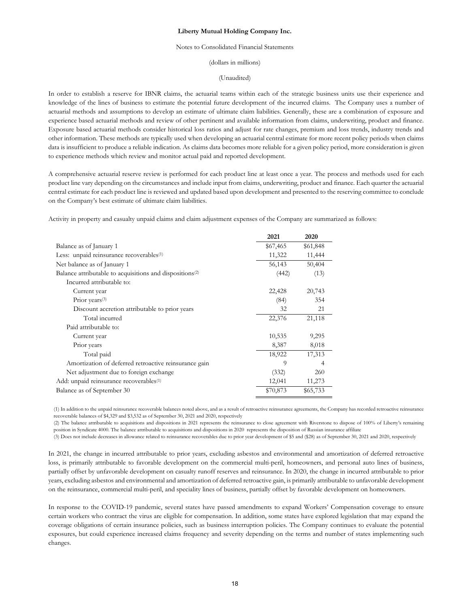## Notes to Consolidated Financial Statements

(dollars in millions)

(Unaudited)

In order to establish a reserve for IBNR claims, the actuarial teams within each of the strategic business units use their experience and knowledge of the lines of business to estimate the potential future development of the incurred claims. The Company uses a number of actuarial methods and assumptions to develop an estimate of ultimate claim liabilities. Generally, these are a combination of exposure and experience based actuarial methods and review of other pertinent and available information from claims, underwriting, product and finance. Exposure based actuarial methods consider historical loss ratios and adjust for rate changes, premium and loss trends, industry trends and other information. These methods are typically used when developing an actuarial central estimate for more recent policy periods when claims data is insufficient to produce a reliable indication. As claims data becomes more reliable for a given policy period, more consideration is given to experience methods which review and monitor actual paid and reported development.

A comprehensive actuarial reserve review is performed for each product line at least once a year. The process and methods used for each product line vary depending on the circumstances and include input from claims, underwriting, product and finance. Each quarter the actuarial central estimate for each product line is reviewed and updated based upon development and presented to the reserving committee to conclude on the Company's best estimate of ultimate claim liabilities.

Activity in property and casualty unpaid claims and claim adjustment expenses of the Company are summarized as follows:

|                                                                      | 2021     | 2020     |
|----------------------------------------------------------------------|----------|----------|
| Balance as of January 1                                              | \$67,465 | \$61,848 |
| Less: unpaid reinsurance recoverables <sup>(1)</sup>                 | 11,322   | 11,444   |
| Net balance as of January 1                                          | 56,143   | 50,404   |
| Balance attributable to acquisitions and dispositions <sup>(2)</sup> | (442)    | (13)     |
| Incurred attributable to:                                            |          |          |
| Current year                                                         | 22,428   | 20,743   |
| Prior years $(3)$                                                    | (84)     | 354      |
| Discount accretion attributable to prior years                       | 32       | 21       |
| Total incurred                                                       | 22,376   | 21,118   |
| Paid attributable to:                                                |          |          |
| Current year                                                         | 10,535   | 9,295    |
| Prior years                                                          | 8,387    | 8,018    |
| Total paid                                                           | 18,922   | 17,313   |
| Amortization of deferred retroactive reinsurance gain                | 9        | 4        |
| Net adjustment due to foreign exchange                               | (332)    | 260      |
| Add: unpaid reinsurance recoverables <sup>(1)</sup>                  | 12,041   | 11,273   |
| Balance as of September 30                                           | \$70,873 | \$65,733 |

(1) In addition to the unpaid reinsurance recoverable balances noted above, and as a result of retroactive reinsurance agreements, the Company has recorded retroactive reinsurance recoverable balances of \$4,329 and \$3,532 as of September 30, 2021 and 2020, respectively

(2) The balance attributable to acquisitions and dispositions in 2021 represents the reinsurance to close agreement with Riverstone to dispose of 100% of Liberty's remaining position in Syndicate 4000. The balance attributable to acquisitions and dispositions in 2020 represents the disposition of Russian insurance affiliate

(3) Does not include decreases in allowance related to reinsurance recoverables due to prior year development of \$5 and (\$28) as of September 30, 2021 and 2020, respectively

In 2021, the change in incurred attributable to prior years, excluding asbestos and environmental and amortization of deferred retroactive loss, is primarily attributable to favorable development on the commercial multi-peril, homeowners, and personal auto lines of business, partially offset by unfavorable development on casualty runoff reserves and reinsurance. In 2020, the change in incurred attributable to prior years, excluding asbestos and environmental and amortization of deferred retroactive gain, is primarily attributable to unfavorable development on the reinsurance, commercial multi-peril, and speciality lines of business, partially offset by favorable development on homeowners.

In response to the COVID-19 pandemic, several states have passed amendments to expand Workers' Compensation coverage to ensure certain workers who contract the virus are eligible for compensation. In addition, some states have explored legislation that may expand the coverage obligations of certain insurance policies, such as business interruption policies. The Company continues to evaluate the potential exposures, but could experience increased claims frequency and severity depending on the terms and number of states implementing such changes.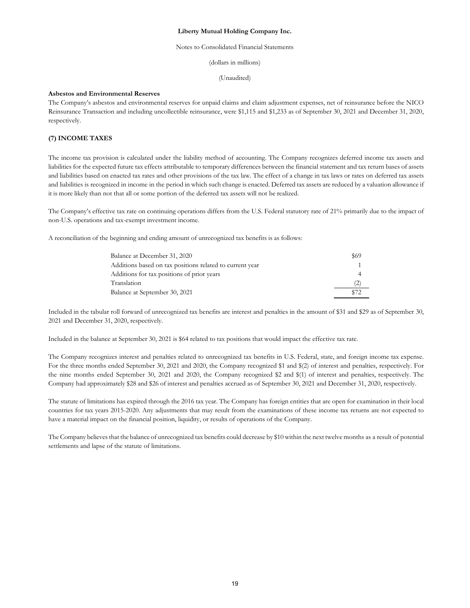## Notes to Consolidated Financial Statements

(dollars in millions)

(Unaudited)

## **Asbestos and Environmental Reserves**

The Company's asbestos and environmental reserves for unpaid claims and claim adjustment expenses, net of reinsurance before the NICO Reinsurance Transaction and including uncollectible reinsurance, were \$1,115 and \$1,233 as of September 30, 2021 and December 31, 2020, respectively.

# **(7) INCOME TAXES**

The income tax provision is calculated under the liability method of accounting. The Company recognizes deferred income tax assets and liabilities for the expected future tax effects attributable to temporary differences between the financial statement and tax return bases of assets and liabilities based on enacted tax rates and other provisions of the tax law. The effect of a change in tax laws or rates on deferred tax assets and liabilities is recognized in income in the period in which such change is enacted. Deferred tax assets are reduced by a valuation allowance if it is more likely than not that all or some portion of the deferred tax assets will not be realized.

The Company's effective tax rate on continuing operations differs from the U.S. Federal statutory rate of 21% primarily due to the impact of non-U.S. operations and tax-exempt investment income.

A reconciliation of the beginning and ending amount of unrecognized tax benefits is as follows:

| Balance at December 31, 2020                             | <b>S69</b>     |
|----------------------------------------------------------|----------------|
| Additions based on tax positions related to current year |                |
| Additions for tax positions of prior years               | $\overline{A}$ |
| Translation                                              | (2)            |
| Balance at September 30, 2021                            |                |

Included in the tabular roll forward of unrecognized tax benefits are interest and penalties in the amount of \$31 and \$29 as of September 30, 2021 and December 31, 2020, respectively.

Included in the balance at September 30, 2021 is \$64 related to tax positions that would impact the effective tax rate.

The Company recognizes interest and penalties related to unrecognized tax benefits in U.S. Federal, state, and foreign income tax expense. For the three months ended September 30, 2021 and 2020, the Company recognized \$1 and \$(2) of interest and penalties, respectively. For the nine months ended September 30, 2021 and 2020, the Company recognized \$2 and \$(1) of interest and penalties, respectively. The Company had approximately \$28 and \$26 of interest and penalties accrued as of September 30, 2021 and December 31, 2020, respectively.

The statute of limitations has expired through the 2016 tax year. The Company has foreign entities that are open for examination in their local countries for tax years 2015-2020. Any adjustments that may result from the examinations of these income tax returns are not expected to have a material impact on the financial position, liquidity, or results of operations of the Company.

The Company believes that the balance of unrecognized tax benefits could decrease by \$10 within the next twelve months as a result of potential settlements and lapse of the statute of limitations.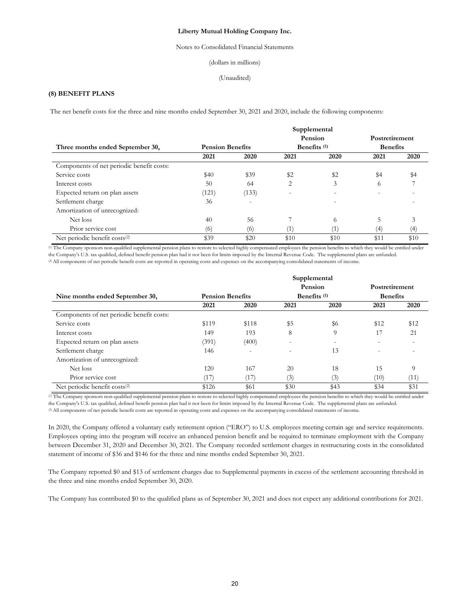## Notes to Consolidated Financial Statements

### (dollars in millions)

#### (Unaudited)

# **(8) BENEFIT PLANS**

The net benefit costs for the three and nine months ended September 30, 2021 and 2020, include the following components:

| Three months ended September 30,          | <b>Pension Benefits</b> |                          |                          | Supplemental<br>Pension<br>Benefits <sup>(1)</sup> | Postretirement<br><b>Benefits</b> |      |
|-------------------------------------------|-------------------------|--------------------------|--------------------------|----------------------------------------------------|-----------------------------------|------|
|                                           | 2021                    | 2020                     | 2021                     | 2020                                               | 2021                              | 2020 |
| Components of net periodic benefit costs: |                         |                          |                          |                                                    |                                   |      |
| Service costs                             | \$40                    | \$39                     | \$2                      | \$2                                                | \$4                               | \$4  |
| Interest costs                            | 50                      | 64                       | 2                        | 3                                                  | $^{\circ}$                        |      |
| Expected return on plan assets            | (121)                   | (133)                    | $\overline{\phantom{0}}$ | $\overline{\phantom{a}}$                           |                                   |      |
| Settlement charge                         | 36                      | $\overline{\phantom{0}}$ |                          |                                                    |                                   |      |
| Amortization of unrecognized:             |                         |                          |                          |                                                    |                                   |      |
| Net loss                                  | 40                      | 56                       |                          | 6                                                  |                                   | 3    |
| Prior service cost                        | (6)                     | (6)                      | $^{\prime}$ 1)           | (1)                                                | (4)                               | (4)  |
| Net periodic benefit costs <sup>(2)</sup> | \$39                    | \$20                     | \$10                     | \$10                                               | \$11                              | \$10 |

(1) The Company sponsors non-qualified supplemental pension plans to restore to selected highly compensated employees the pension benefits to which they would be entitled under the Company's U.S. tax qualified, defined benefit pension plan had it not been for limits imposed by the Internal Revenue Code. The supplemental plans are unfunded. (2) All components of net periodic benefit costs are reported in operating costs and expenses on the accompanying consolidated statements of income.

|                                           |                         |                          |      | Supplemental             |                          |      |
|-------------------------------------------|-------------------------|--------------------------|------|--------------------------|--------------------------|------|
|                                           |                         |                          |      | Pension                  | Postretirement           |      |
| Nine months ended September 30,           | <b>Pension Benefits</b> |                          |      | Benefits (1)             | <b>Benefits</b>          |      |
|                                           | 2021                    | 2020                     | 2021 | 2020                     | 2021                     | 2020 |
| Components of net periodic benefit costs: |                         |                          |      |                          |                          |      |
| Service costs                             | \$119                   | \$118                    | \$5  | \$6                      | \$12                     | \$12 |
| Interest costs                            | 149                     | 193                      | 8    | 9                        | 17                       | 21   |
| Expected return on plan assets            | (391)                   | (400)                    | -    | $\overline{\phantom{a}}$ | $\overline{\phantom{0}}$ |      |
| Settlement charge                         | 146                     | $\overline{\phantom{0}}$ | -    | 13                       |                          |      |
| Amortization of unrecognized:             |                         |                          |      |                          |                          |      |
| Net loss                                  | 120                     | 167                      | 20   | 18                       | 15                       | 9    |
| Prior service cost                        | (17)                    | (17)                     | (3)  | (3)                      | (10)                     | (11) |
| Net periodic benefit costs <sup>(2)</sup> | \$126                   | \$61                     | \$30 | \$43                     | \$34                     | \$31 |

(1) The Company sponsors non-qualified supplemental pension plans to restore to selected highly compensated employees the pension benefits to which they would be entitled under the Company's U.S. tax qualified, defined benefit pension plan had it not been for limits imposed by the Internal Revenue Code. The supplemental plans are unfunded. (2) All components of net periodic benefit costs are reported in operating costs and expenses on the accompanying consolidated statements of income.

In 2020, the Company offered a voluntary early retirement option ("ERO") to U.S. employees meeting certain age and service requirements. Employees opting into the program will receive an enhanced pension benefit and be required to terminate employment with the Company between December 31, 2020 and December 30, 2021. The Company recorded settlement charges in restructuring costs in the consolidated statement of income of \$36 and \$146 for the three and nine months ended September 30, 2021.

The Company reported \$0 and \$13 of settlement charges due to Supplemental payments in excess of the settlement accounting threshold in the three and nine months ended September 30, 2020.

The Company has contributed \$0 to the qualified plans as of September 30, 2021 and does not expect any additional contributions for 2021.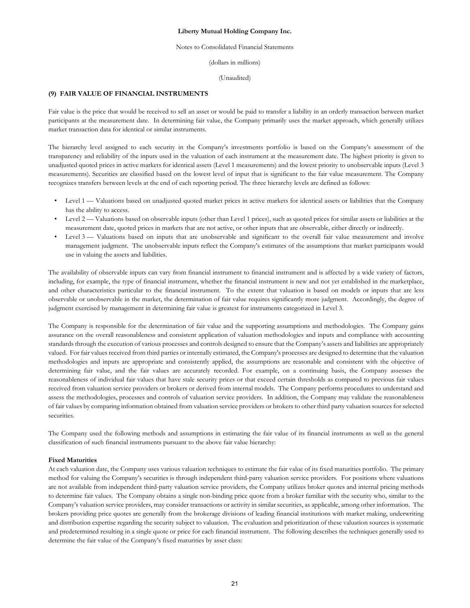#### Notes to Consolidated Financial Statements

(dollars in millions)

(Unaudited)

# **(9) FAIR VALUE OF FINANCIAL INSTRUMENTS**

Fair value is the price that would be received to sell an asset or would be paid to transfer a liability in an orderly transaction between market participants at the measurement date. In determining fair value, the Company primarily uses the market approach, which generally utilizes market transaction data for identical or similar instruments.

The hierarchy level assigned to each security in the Company's investments portfolio is based on the Company's assessment of the transparency and reliability of the inputs used in the valuation of each instrument at the measurement date. The highest priority is given to unadjusted quoted prices in active markets for identical assets (Level 1 measurements) and the lowest priority to unobservable inputs (Level 3 measurements). Securities are classified based on the lowest level of input that is significant to the fair value measurement. The Company recognizes transfers between levels at the end of each reporting period. The three hierarchy levels are defined as follows:

- Level 1 Valuations based on unadjusted quoted market prices in active markets for identical assets or liabilities that the Company has the ability to access.
- Level 2 Valuations based on observable inputs (other than Level 1 prices), such as quoted prices for similar assets or liabilities at the measurement date, quoted prices in markets that are not active, or other inputs that are observable, either directly or indirectly.
- Level 3 Valuations based on inputs that are unobservable and significant to the overall fair value measurement and involve management judgment. The unobservable inputs reflect the Company's estimates of the assumptions that market participants would use in valuing the assets and liabilities.

The availability of observable inputs can vary from financial instrument to financial instrument and is affected by a wide variety of factors, including, for example, the type of financial instrument, whether the financial instrument is new and not yet established in the marketplace, and other characteristics particular to the financial instrument. To the extent that valuation is based on models or inputs that are less observable or unobservable in the market, the determination of fair value requires significantly more judgment. Accordingly, the degree of judgment exercised by management in determining fair value is greatest for instruments categorized in Level 3.

The Company is responsible for the determination of fair value and the supporting assumptions and methodologies. The Company gains assurance on the overall reasonableness and consistent application of valuation methodologies and inputs and compliance with accounting standards through the execution of various processes and controls designed to ensure that the Company's assets and liabilities are appropriately valued. For fair values received from third parties or internally estimated, the Company's processes are designed to determine that the valuation methodologies and inputs are appropriate and consistently applied, the assumptions are reasonable and consistent with the objective of determining fair value, and the fair values are accurately recorded. For example, on a continuing basis, the Company assesses the reasonableness of individual fair values that have stale security prices or that exceed certain thresholds as compared to previous fair values received from valuation service providers or brokers or derived from internal models. The Company performs procedures to understand and assess the methodologies, processes and controls of valuation service providers. In addition, the Company may validate the reasonableness of fair values by comparing information obtained from valuation service providers or brokers to other third party valuation sources for selected securities.

The Company used the following methods and assumptions in estimating the fair value of its financial instruments as well as the general classification of such financial instruments pursuant to the above fair value hierarchy:

## **Fixed Maturities**

At each valuation date, the Company uses various valuation techniques to estimate the fair value of its fixed maturities portfolio. The primary method for valuing the Company's securities is through independent third-party valuation service providers. For positions where valuations are not available from independent third-party valuation service providers, the Company utilizes broker quotes and internal pricing methods to determine fair values. The Company obtains a single non-binding price quote from a broker familiar with the security who, similar to the Company's valuation service providers, may consider transactions or activity in similar securities, as applicable, among other information. The brokers providing price quotes are generally from the brokerage divisions of leading financial institutions with market making, underwriting and distribution expertise regarding the security subject to valuation. The evaluation and prioritization of these valuation sources is systematic and predetermined resulting in a single quote or price for each financial instrument. The following describes the techniques generally used to determine the fair value of the Company's fixed maturities by asset class: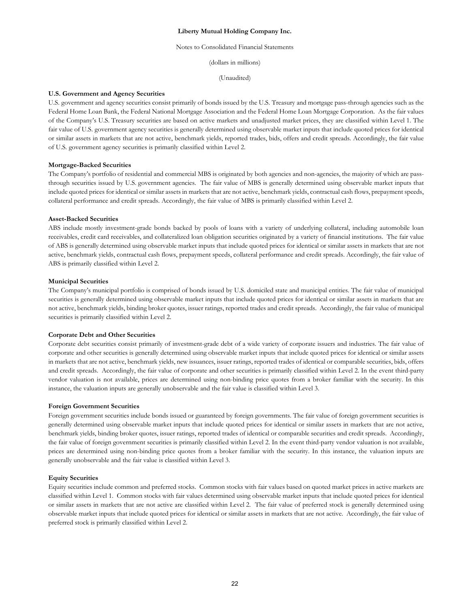#### Notes to Consolidated Financial Statements

(dollars in millions)

(Unaudited)

#### **U.S. Government and Agency Securities**

U.S. government and agency securities consist primarily of bonds issued by the U.S. Treasury and mortgage pass-through agencies such as the Federal Home Loan Bank, the Federal National Mortgage Association and the Federal Home Loan Mortgage Corporation. As the fair values of the Company's U.S. Treasury securities are based on active markets and unadjusted market prices, they are classified within Level 1. The fair value of U.S. government agency securities is generally determined using observable market inputs that include quoted prices for identical or similar assets in markets that are not active, benchmark yields, reported trades, bids, offers and credit spreads. Accordingly, the fair value of U.S. government agency securities is primarily classified within Level 2.

#### **Mortgage-Backed Securities**

The Company's portfolio of residential and commercial MBS is originated by both agencies and non-agencies, the majority of which are passthrough securities issued by U.S. government agencies. The fair value of MBS is generally determined using observable market inputs that include quoted prices for identical or similar assets in markets that are not active, benchmark yields, contractual cash flows, prepayment speeds, collateral performance and credit spreads. Accordingly, the fair value of MBS is primarily classified within Level 2.

#### **Asset-Backed Securities**

ABS include mostly investment-grade bonds backed by pools of loans with a variety of underlying collateral, including automobile loan receivables, credit card receivables, and collateralized loan obligation securities originated by a variety of financial institutions. The fair value of ABS is generally determined using observable market inputs that include quoted prices for identical or similar assets in markets that are not active, benchmark yields, contractual cash flows, prepayment speeds, collateral performance and credit spreads. Accordingly, the fair value of ABS is primarily classified within Level 2.

### **Municipal Securities**

The Company's municipal portfolio is comprised of bonds issued by U.S. domiciled state and municipal entities. The fair value of municipal securities is generally determined using observable market inputs that include quoted prices for identical or similar assets in markets that are not active, benchmark yields, binding broker quotes, issuer ratings, reported trades and credit spreads. Accordingly, the fair value of municipal securities is primarily classified within Level 2.

## **Corporate Debt and Other Securities**

Corporate debt securities consist primarily of investment-grade debt of a wide variety of corporate issuers and industries. The fair value of corporate and other securities is generally determined using observable market inputs that include quoted prices for identical or similar assets in markets that are not active, benchmark yields, new issuances, issuer ratings, reported trades of identical or comparable securities, bids, offers and credit spreads. Accordingly, the fair value of corporate and other securities is primarily classified within Level 2. In the event third-party vendor valuation is not available, prices are determined using non-binding price quotes from a broker familiar with the security. In this instance, the valuation inputs are generally unobservable and the fair value is classified within Level 3.

#### **Foreign Government Securities**

Foreign government securities include bonds issued or guaranteed by foreign governments. The fair value of foreign government securities is generally determined using observable market inputs that include quoted prices for identical or similar assets in markets that are not active, benchmark yields, binding broker quotes, issuer ratings, reported trades of identical or comparable securities and credit spreads. Accordingly, the fair value of foreign government securities is primarily classified within Level 2. In the event third-party vendor valuation is not available, prices are determined using non-binding price quotes from a broker familiar with the security. In this instance, the valuation inputs are generally unobservable and the fair value is classified within Level 3.

## **Equity Securities**

Equity securities include common and preferred stocks. Common stocks with fair values based on quoted market prices in active markets are classified within Level 1. Common stocks with fair values determined using observable market inputs that include quoted prices for identical or similar assets in markets that are not active are classified within Level 2. The fair value of preferred stock is generally determined using observable market inputs that include quoted prices for identical or similar assets in markets that are not active. Accordingly, the fair value of preferred stock is primarily classified within Level 2.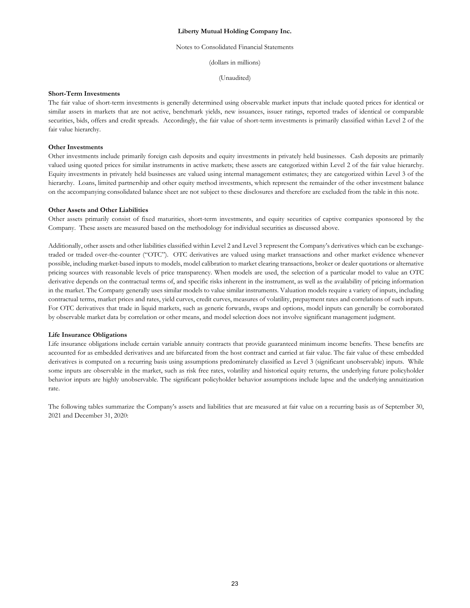#### Notes to Consolidated Financial Statements

(dollars in millions)

(Unaudited)

## **Short-Term Investments**

The fair value of short-term investments is generally determined using observable market inputs that include quoted prices for identical or similar assets in markets that are not active, benchmark yields, new issuances, issuer ratings, reported trades of identical or comparable securities, bids, offers and credit spreads. Accordingly, the fair value of short-term investments is primarily classified within Level 2 of the fair value hierarchy.

### **Other Investments**

Other investments include primarily foreign cash deposits and equity investments in privately held businesses. Cash deposits are primarily valued using quoted prices for similar instruments in active markets; these assets are categorized within Level 2 of the fair value hierarchy. Equity investments in privately held businesses are valued using internal management estimates; they are categorized within Level 3 of the hierarchy. Loans, limited partnership and other equity method investments, which represent the remainder of the other investment balance on the accompanying consolidated balance sheet are not subject to these disclosures and therefore are excluded from the table in this note.

## **Other Assets and Other Liabilities**

Other assets primarily consist of fixed maturities, short-term investments, and equity securities of captive companies sponsored by the Company. These assets are measured based on the methodology for individual securities as discussed above.

Additionally, other assets and other liabilities classified within Level 2 and Level 3 represent the Company's derivatives which can be exchangetraded or traded over-the-counter ("OTC"). OTC derivatives are valued using market transactions and other market evidence whenever possible, including market-based inputs to models, model calibration to market clearing transactions, broker or dealer quotations or alternative pricing sources with reasonable levels of price transparency. When models are used, the selection of a particular model to value an OTC derivative depends on the contractual terms of, and specific risks inherent in the instrument, as well as the availability of pricing information in the market. The Company generally uses similar models to value similar instruments. Valuation models require a variety of inputs, including contractual terms, market prices and rates, yield curves, credit curves, measures of volatility, prepayment rates and correlations of such inputs. For OTC derivatives that trade in liquid markets, such as generic forwards, swaps and options, model inputs can generally be corroborated by observable market data by correlation or other means, and model selection does not involve significant management judgment.

## **Life Insurance Obligations**

Life insurance obligations include certain variable annuity contracts that provide guaranteed minimum income benefits. These benefits are accounted for as embedded derivatives and are bifurcated from the host contract and carried at fair value. The fair value of these embedded derivatives is computed on a recurring basis using assumptions predominately classified as Level 3 (significant unobservable) inputs. While some inputs are observable in the market, such as risk free rates, volatility and historical equity returns, the underlying future policyholder behavior inputs are highly unobservable. The significant policyholder behavior assumptions include lapse and the underlying annuitization rate.

The following tables summarize the Company's assets and liabilities that are measured at fair value on a recurring basis as of September 30, 2021 and December 31, 2020: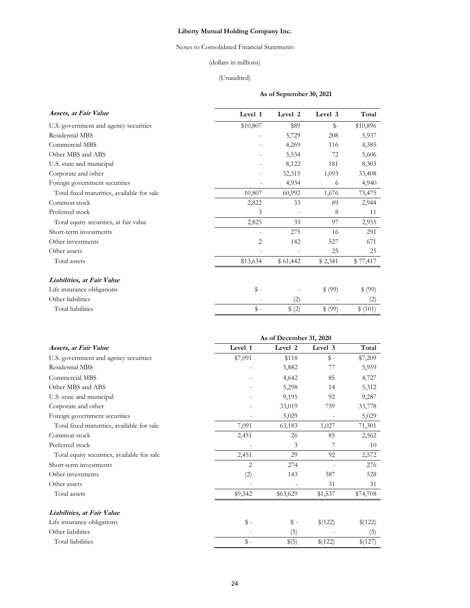# Notes to Consolidated Financial Statements

# (dollars in millions)

# (Unaudited)

# **As of September 30, 2021**

| Assets, at Fair Value                      | Level 1       | Level 2                  | Level 3 | Total    |
|--------------------------------------------|---------------|--------------------------|---------|----------|
| U.S. government and agency securities      | \$10,807      | \$89                     | $S-$    | \$10,896 |
| Residential MBS                            |               | 5,729                    | 208     | 5,937    |
| Commercial MBS                             |               | 4,269                    | 116     | 4,385    |
| Other MBS and ABS                          |               | 5,534                    | 72      | 5,606    |
| U.S. state and municipal                   |               | 8,122                    | 181     | 8,303    |
| Corporate and other                        |               | 32,315                   | 1,093   | 33,408   |
| Foreign government securities              |               | 4,934                    | 6       | 4,940    |
| Total fixed maturities, available for sale | 10,807        | 60,992                   | 1,676   | 73,475   |
| Common stock                               | 2,822         | 33                       | 89      | 2,944    |
| Preferred stock                            | 3             | $\overline{\phantom{0}}$ | 8       | 11       |
| Total equity securities, at fair value     | 2,825         | 33                       | 97      | 2,955    |
| Short-term investments                     |               | 275                      | 16      | 291      |
| Other investments                          | 2             | 142                      | 527     | 671      |
| Other assets                               |               |                          | 25      | 25       |
| Total assets                               | \$13,634      | \$61,442                 | \$2,341 | \$77,417 |
| Liabilities, at Fair Value                 |               |                          |         |          |
| Life insurance obligations                 | $\text{\$}$ - |                          | \$ (99) | \$ (99)  |
| Other liabilities                          |               | (2)                      |         | (2)      |
| Total liabilities                          | \$ -          | \$ (2)                   | \$ (99) | \$(101)  |

| Level 2<br>Level 3<br>Total<br>Assets, at Fair Value<br>Level 1<br>$\mathbb{S}$ –<br>\$7,209<br>U.S. government and agency securities<br>\$7,091<br>\$118<br>Residential MBS<br>5,882<br>5,959<br>77<br>Commercial MBS<br>4,642<br>85<br>4,727<br>Other MBS and ABS<br>5,312<br>5,298<br>14<br>U.S. state and municipal<br>9,195<br>92<br>9,287<br>Corporate and other<br>33,019<br>759<br>33,778<br>Foreign government securities<br>5,029<br>5,029<br>$\overline{\phantom{a}}$<br>Total fixed maturities, available for sale<br>7,091<br>71,301<br>63,183<br>1,027<br>Common stock<br>2,451<br>85<br>2,562<br>26<br>Preferred stock<br>3<br>7<br>10<br>2,451<br>Total equity securities, available for sale<br>29<br>92<br>2,572<br>Short-term investments<br>2<br>276<br>274<br>(2)<br>Other investments<br>143<br>387<br>528<br>31<br>Other assets<br>31<br>Total assets<br>\$9,542<br>\$63,629<br>\$74,708<br>\$1,537<br>Liabilities, at Fair Value<br>\$ -<br>\$ -<br>Life insurance obligations<br>\$(122)<br>\$(122)<br>Other liabilities<br>(5)<br>(5)<br>$\mathbb{S}$ -<br>Total liabilities<br>\$(5)<br>\$(122)<br>\$(127) | As of December 31, 2020 |  |  |  |  |
|---------------------------------------------------------------------------------------------------------------------------------------------------------------------------------------------------------------------------------------------------------------------------------------------------------------------------------------------------------------------------------------------------------------------------------------------------------------------------------------------------------------------------------------------------------------------------------------------------------------------------------------------------------------------------------------------------------------------------------------------------------------------------------------------------------------------------------------------------------------------------------------------------------------------------------------------------------------------------------------------------------------------------------------------------------------------------------------------------------------------------------------|-------------------------|--|--|--|--|
|                                                                                                                                                                                                                                                                                                                                                                                                                                                                                                                                                                                                                                                                                                                                                                                                                                                                                                                                                                                                                                                                                                                                       |                         |  |  |  |  |
|                                                                                                                                                                                                                                                                                                                                                                                                                                                                                                                                                                                                                                                                                                                                                                                                                                                                                                                                                                                                                                                                                                                                       |                         |  |  |  |  |
|                                                                                                                                                                                                                                                                                                                                                                                                                                                                                                                                                                                                                                                                                                                                                                                                                                                                                                                                                                                                                                                                                                                                       |                         |  |  |  |  |
|                                                                                                                                                                                                                                                                                                                                                                                                                                                                                                                                                                                                                                                                                                                                                                                                                                                                                                                                                                                                                                                                                                                                       |                         |  |  |  |  |
|                                                                                                                                                                                                                                                                                                                                                                                                                                                                                                                                                                                                                                                                                                                                                                                                                                                                                                                                                                                                                                                                                                                                       |                         |  |  |  |  |
|                                                                                                                                                                                                                                                                                                                                                                                                                                                                                                                                                                                                                                                                                                                                                                                                                                                                                                                                                                                                                                                                                                                                       |                         |  |  |  |  |
|                                                                                                                                                                                                                                                                                                                                                                                                                                                                                                                                                                                                                                                                                                                                                                                                                                                                                                                                                                                                                                                                                                                                       |                         |  |  |  |  |
|                                                                                                                                                                                                                                                                                                                                                                                                                                                                                                                                                                                                                                                                                                                                                                                                                                                                                                                                                                                                                                                                                                                                       |                         |  |  |  |  |
|                                                                                                                                                                                                                                                                                                                                                                                                                                                                                                                                                                                                                                                                                                                                                                                                                                                                                                                                                                                                                                                                                                                                       |                         |  |  |  |  |
|                                                                                                                                                                                                                                                                                                                                                                                                                                                                                                                                                                                                                                                                                                                                                                                                                                                                                                                                                                                                                                                                                                                                       |                         |  |  |  |  |
|                                                                                                                                                                                                                                                                                                                                                                                                                                                                                                                                                                                                                                                                                                                                                                                                                                                                                                                                                                                                                                                                                                                                       |                         |  |  |  |  |
|                                                                                                                                                                                                                                                                                                                                                                                                                                                                                                                                                                                                                                                                                                                                                                                                                                                                                                                                                                                                                                                                                                                                       |                         |  |  |  |  |
|                                                                                                                                                                                                                                                                                                                                                                                                                                                                                                                                                                                                                                                                                                                                                                                                                                                                                                                                                                                                                                                                                                                                       |                         |  |  |  |  |
|                                                                                                                                                                                                                                                                                                                                                                                                                                                                                                                                                                                                                                                                                                                                                                                                                                                                                                                                                                                                                                                                                                                                       |                         |  |  |  |  |
|                                                                                                                                                                                                                                                                                                                                                                                                                                                                                                                                                                                                                                                                                                                                                                                                                                                                                                                                                                                                                                                                                                                                       |                         |  |  |  |  |
|                                                                                                                                                                                                                                                                                                                                                                                                                                                                                                                                                                                                                                                                                                                                                                                                                                                                                                                                                                                                                                                                                                                                       |                         |  |  |  |  |
|                                                                                                                                                                                                                                                                                                                                                                                                                                                                                                                                                                                                                                                                                                                                                                                                                                                                                                                                                                                                                                                                                                                                       |                         |  |  |  |  |
|                                                                                                                                                                                                                                                                                                                                                                                                                                                                                                                                                                                                                                                                                                                                                                                                                                                                                                                                                                                                                                                                                                                                       |                         |  |  |  |  |
|                                                                                                                                                                                                                                                                                                                                                                                                                                                                                                                                                                                                                                                                                                                                                                                                                                                                                                                                                                                                                                                                                                                                       |                         |  |  |  |  |
|                                                                                                                                                                                                                                                                                                                                                                                                                                                                                                                                                                                                                                                                                                                                                                                                                                                                                                                                                                                                                                                                                                                                       |                         |  |  |  |  |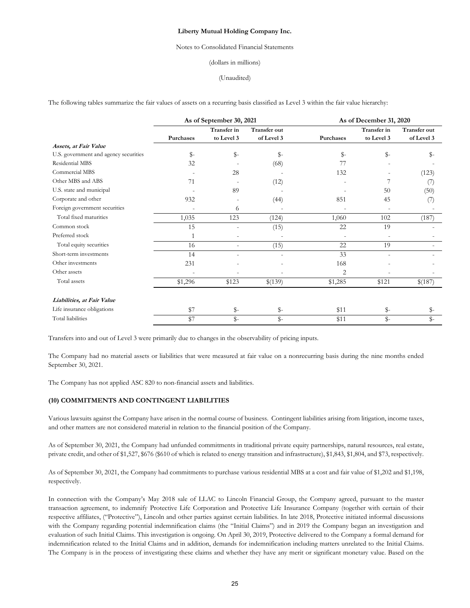## Notes to Consolidated Financial Statements

### (dollars in millions)

### (Unaudited)

The following tables summarize the fair values of assets on a recurring basis classified as Level 3 within the fair value hierarchy:

|                                       | As of September 30, 2021 |                           |                                   | As of December 31, 2020 |                           |                                   |  |
|---------------------------------------|--------------------------|---------------------------|-----------------------------------|-------------------------|---------------------------|-----------------------------------|--|
|                                       | Purchases                | Transfer in<br>to Level 3 | <b>Transfer out</b><br>of Level 3 | Purchases               | Transfer in<br>to Level 3 | <b>Transfer out</b><br>of Level 3 |  |
| Assets, at Fair Value                 |                          |                           |                                   |                         |                           |                                   |  |
| U.S. government and agency securities | $\mathbb{S}^-$           | $\mathbb{S}$ -            | \$-                               | $\mathbb{S}^-$          | \$-                       | $S-$                              |  |
| Residential MBS                       | 32                       |                           | (68)                              | 77                      |                           |                                   |  |
| Commercial MBS                        |                          | 28                        |                                   | 132                     |                           | (123)                             |  |
| Other MBS and ABS                     | 71                       |                           | (12)                              |                         |                           | (7)                               |  |
| U.S. state and municipal              |                          | 89                        |                                   |                         | 50                        | (50)                              |  |
| Corporate and other                   | 932                      |                           | (44)                              | 851                     | 45                        | (7)                               |  |
| Foreign government securities         |                          | 6                         |                                   |                         |                           |                                   |  |
| Total fixed maturities                | 1,035                    | 123                       | (124)                             | 1,060                   | 102                       | (187)                             |  |
| Common stock                          | 15                       |                           | (15)                              | 22                      | 19                        |                                   |  |
| Preferred stock                       |                          |                           |                                   |                         |                           |                                   |  |
| Total equity securities               | 16                       | $\sim$                    | (15)                              | 22                      | 19                        |                                   |  |
| Short-term investments                | 14                       |                           |                                   | 33                      |                           |                                   |  |
| Other investments                     | 231                      |                           |                                   | 168                     |                           |                                   |  |
| Other assets                          |                          |                           |                                   | 2                       |                           |                                   |  |
| Total assets                          | \$1,296                  | \$123                     | \$(139)                           | \$1,285                 | \$121                     | \$(187)                           |  |
| Liabilities, at Fair Value            |                          |                           |                                   |                         |                           |                                   |  |
| Life insurance obligations            | \$7                      | $\mathbb{S}$ -            | \$-                               | \$11                    | \$-                       | \$-                               |  |
| Total liabilities                     | \$7                      | $\mathbb{S}^-$            | $S-$                              | \$11                    | $\mathbb{S}$ -            | $S-$                              |  |

Transfers into and out of Level 3 were primarily due to changes in the observability of pricing inputs.

The Company had no material assets or liabilities that were measured at fair value on a nonrecurring basis during the nine months ended September 30, 2021.

The Company has not applied ASC 820 to non-financial assets and liabilities.

# **(10) COMMITMENTS AND CONTINGENT LIABILITIES**

Various lawsuits against the Company have arisen in the normal course of business. Contingent liabilities arising from litigation, income taxes, and other matters are not considered material in relation to the financial position of the Company.

As of September 30, 2021, the Company had unfunded commitments in traditional private equity partnerships, natural resources, real estate, private credit, and other of \$1,527, \$676 (\$610 of which is related to energy transition and infrastructure), \$1,843, \$1,804, and \$73, respectively.

As of September 30, 2021, the Company had commitments to purchase various residential MBS at a cost and fair value of \$1,202 and \$1,198, respectively.

In connection with the Company's May 2018 sale of LLAC to Lincoln Financial Group, the Company agreed, pursuant to the master transaction agreement, to indemnify Protective Life Corporation and Protective Life Insurance Company (together with certain of their respective affiliates, ("Protective"), Lincoln and other parties against certain liabilities. In late 2018, Protective initiated informal discussions with the Company regarding potential indemnification claims (the "Initial Claims") and in 2019 the Company began an investigation and evaluation of such Initial Claims. This investigation is ongoing. On April 30, 2019, Protective delivered to the Company a formal demand for indemnification related to the Initial Claims and in addition, demands for indemnification including matters unrelated to the Initial Claims. The Company is in the process of investigating these claims and whether they have any merit or significant monetary value. Based on the